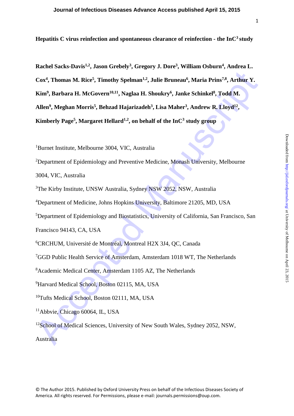**Hepatitis C virus reinfection and spontaneous clearance of reinfection - the InC<sup>3</sup>study**

Cox<sup>4</sup>, Thomas M. Rice<sup>5</sup>, Timothy Spelman<sup>12</sup>, Julie Bruneau<sup>6</sup>, Maria Prins<sup>78</sup>, Arthur Y.<br>Kim<sup>9</sup>, Barbara H. McGovern<sup>6041</sup>, Naglaa H. Shoukry<sup>4</sup>, Janke Schinkel<sup>8</sup>, Todd M.<br>Allen<sup>9</sup>, Meghan Morris<sup>8</sup>, Behzad Hajarizzde **Rachel Sacks-Davis1,2 , Jason Grebely<sup>3</sup> , Gregory J. Dore<sup>3</sup> , William Osburn<sup>4</sup> , Andrea L. Cox<sup>4</sup> , Thomas M. Rice<sup>5</sup> , Timothy Spelman1,2 , Julie Bruneau<sup>6</sup> , Maria Prins7,8 , Arthur Y. Kim<sup>9</sup> , Barbara H. McGovern10,11 , Naglaa H. Shoukry<sup>6</sup> , Janke Schinkel<sup>8</sup> , Todd M. Allen<sup>9</sup> , Meghan Morris<sup>5</sup> , Behzad Hajarizadeh<sup>3</sup> , Lisa Maher<sup>3</sup> , Andrew R. Lloyd<sup>12</sup> , Kimberly Page<sup>5</sup> , Margaret Hellard1,2 , on behalf of the InC<sup>3</sup> study group** 

<sup>1</sup>Burnet Institute, Melbourne 3004, VIC, Australia

<sup>2</sup>Department of Epidemiology and Preventive Medicine, Monash University, Melbourne

3004, VIC, Australia

<sup>3</sup>The Kirby Institute, UNSW Australia, Sydney NSW 2052, NSW, Australia

<sup>4</sup>Department of Medicine, Johns Hopkins University, Baltimore 21205, MD, USA

<sup>5</sup>Department of Epidemiology and Biostatistics, University of California, San Francisco, San

Francisco 94143, CA, USA

<sup>6</sup>CRCHUM, Université de Montréal, Montreal H2X 3J4, QC, Canada

<sup>7</sup>GGD Public Health Service of Amsterdam, Amsterdam 1018 WT, The Netherlands

<sup>8</sup>Academic Medical Center, Amsterdam 1105 AZ, The Netherlands

<sup>9</sup>Harvard Medical School, Boston 02115, MA, USA

<sup>10</sup>Tufts Medical School, Boston 02111, MA, USA

<sup>11</sup>Abbvie, Chicago 60064, IL, USA

<sup>12</sup>School of Medical Sciences, University of New South Wales, Sydney 2052, NSW, Australia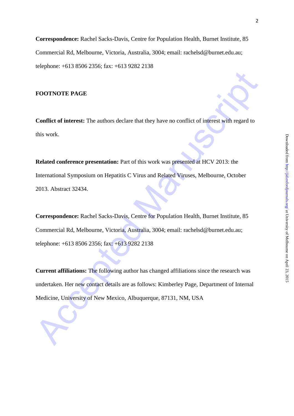**Correspondence:** Rachel Sacks-Davis, Centre for Population Health, Burnet Institute, 85 Commercial Rd, Melbourne, Victoria, Australia, 3004; email: [rachelsd@burnet.edu.au;](mailto:rachelsd@burnet.edu.au) telephone: +613 8506 2356; fax: +613 9282 2138

# **FOOTNOTE PAGE**

**Conflict of interest:** The authors declare that they have no conflict of interest with regard to this work.

**Related conference presentation:** Part of this work was presented at HCV 2013: the International Symposium on Hepatitis C Virus and Related Viruses, Melbourne, October 2013. Abstract 32434.

FOOTNOTE PAGE<br>
Conflict of interest: The authors declare that they have no conflict of interest with regard to<br>
this work.<br>
Related conference presentation: Part of this work was presented at HCV 2013: the<br>
International S **Correspondence:** Rachel Sacks-Davis, Centre for Population Health, Burnet Institute, 85 Commercial Rd, Melbourne, Victoria, Australia, 3004; email: rachelsd@burnet.edu.au; telephone: +613 8506 2356; fax: +613 9282 2138

**Current affiliations:** The following author has changed affiliations since the research was undertaken. Her new contact details are as follows: Kimberley Page, Department of Internal Medicine, University of New Mexico, Albuquerque, 87131, NM, USA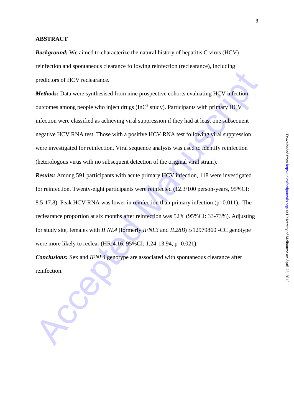# **ABSTRACT**

*Background:* We aimed to characterize the natural history of hepatitis C virus (HCV) reinfection and spontaneous clearance following reinfection (reclearance), including predictors of HCV reclearance.

*Methods:* Data were synthesised from nine prospective cohorts evaluating HCV infection outcomes among people who inject drugs ( $InC<sup>3</sup>$  study). Participants with primary  $HCV$ infection were classified as achieving viral suppression if they had at least one subsequent negative HCV RNA test. Those with a positive HCV RNA test following viral suppression were investigated for reinfection. Viral sequence analysis was used to identify reinfection (heterologous virus with no subsequent detection of the original viral strain).

predictors of HCV reclearance.<br>
Methods: Data were synthesised from nine prospective cohorts evaluating HCV infection<br>
outcomes among people who inject drugs (fmC<sup>3</sup> study). Participants with primary HCV<br>
infection were cl *Results:* Among 591 participants with acute primary HCV infection, 118 were investigated for reinfection. Twenty-eight participants were reinfected (12.3/100 person-years, 95%CI: 8.5-17.8). Peak HCV RNA was lower in reinfection than primary infection (p=0.011). The reclearance proportion at six months after reinfection was 52% (95%CI: 33-73%). Adjusting for study site, females with *IFNL4* (formerly *IFNL3* and *IL28B*) rs12979860 -CC genotype were more likely to reclear (HR:4.16, 95%CI: 1.24-13.94, p=0.021).

*Conclusions:* Sex and *IFNL4* genotype are associated with spontaneous clearance after reinfection.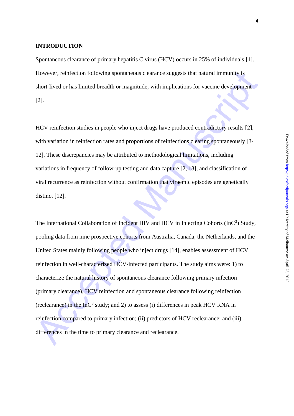# **INTRODUCTION**

Spontaneous clearance of primary hepatitis C virus (HCV) occurs in 25% of individuals [1]. However, reinfection following spontaneous clearance suggests that natural immunity is short-lived or has limited breadth or magnitude, with implications for vaccine development [2].

HCV reinfection studies in people who inject drugs have produced contradictory results [2], with variation in reinfection rates and proportions of reinfections clearing spontaneously [3-12]. These discrepancies may be attributed to methodological limitations, including variations in frequency of follow-up testing and data capture [2, 13], and classification of viral recurrence as reinfection without confirmation that viraemic episodes are genetically distinct [12].

However, reinfection following spontaneous clearance suggests that natural immunity is<br>short-lived or has limited breadth or magnitude, with implications for vaccine development<br>[21.]<br>HCV reinfection studies in people who The International Collaboration of Incident HIV and HCV in Injecting Cohorts (InC<sup>3</sup>) Study, pooling data from nine prospective cohorts from Australia, Canada, the Netherlands, and the United States mainly following people who inject drugs [14], enables assessment of HCV reinfection in well-characterized HCV-infected participants. The study aims were: 1) to characterize the natural history of spontaneous clearance following primary infection (primary clearance), HCV reinfection and spontaneous clearance following reinfection (reclearance) in the  $InC<sup>3</sup>$  study; and 2) to assess (i) differences in peak HCV RNA in reinfection compared to primary infection; (ii) predictors of HCV reclearance; and (iii) differences in the time to primary clearance and reclearance.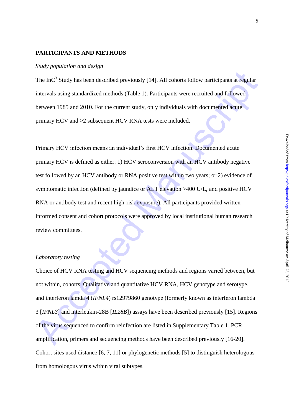# **PARTICIPANTS AND METHODS**

#### *Study population and design*

The  $InC<sup>3</sup>$  Study has been described previously [14]. All cohorts follow participants at regular intervals using standardized methods (Table 1). Participants were recruited and followed between 1985 and 2010. For the current study, only individuals with documented acute primary HCV and >2 subsequent HCV RNA tests were included.

The InC<sup>2</sup> Study has been described previously [14]. All cohorts follow participants at regular<br>intervals using standardized methods (Table 1). Participants were recruited and followed<br>between 1985 and 2010. For the curren Primary HCV infection means an individual's first HCV infection. Documented acute primary HCV is defined as either: 1) HCV seroconversion with an HCV antibody negative test followed by an HCV antibody or RNA positive test within two years; or 2) evidence of symptomatic infection (defined by jaundice or ALT elevation >400 U/L, and positive HCV RNA or antibody test and recent high-risk exposure). All participants provided written informed consent and cohort protocols were approved by local institutional human research review committees.

### *Laboratory testing*

Choice of HCV RNA testing and HCV sequencing methods and regions varied between, but not within, cohorts. Qualitative and quantitative HCV RNA, HCV genotype and serotype, and interferon lamda 4 (*IFNL4*) rs12979860 genotype (formerly known as interferon lambda 3 [*IFNL3*] and interleukin-28B [*IL28B*]) assays have been described previously [15]. Regions of the virus sequenced to confirm reinfection are listed in Supplementary Table 1. PCR amplification, primers and sequencing methods have been described previously [16-20]. Cohort sites used distance [6, 7, 11] or phylogenetic methods [5] to distinguish heterologous from homologous virus within viral subtypes.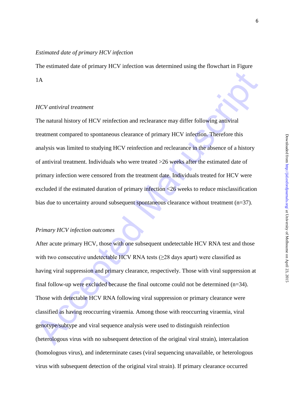# *Estimated date of primary HCV infection*

The estimated date of primary HCV infection was determined using the flowchart in Figure 1A

# *HCV antiviral treatment*

The natural history of HCV reinfection and reclearance may differ following antiviral treatment compared to spontaneous clearance of primary HCV infection. Therefore this analysis was limited to studying HCV reinfection and reclearance in the absence of a history of antiviral treatment. Individuals who were treated >26 weeks after the estimated date of primary infection were censored from the treatment date. Individuals treated for HCV were excluded if the estimated duration of primary infection <26 weeks to reduce misclassification bias due to uncertainty around subsequent spontaneous clearance without treatment (n=37).

## *Primary HCV infection outcomes*

1A<br>
HCV antiviral treatment<br>
The natural history of HCV reinfection and reclearance may differ following antiviral<br>
treatment compared to spontaneous clearance of primary HCV infection. Therefore his<br>
analysis was limited After acute primary HCV, those with one subsequent undetectable HCV RNA test and those with two consecutive undetectable HCV RNA tests  $(\geq 28$  days apart) were classified as having viral suppression and primary clearance, respectively. Those with viral suppression at final follow-up were excluded because the final outcome could not be determined (n=34). Those with detectable HCV RNA following viral suppression or primary clearance were classified as having reoccurring viraemia. Among those with reoccurring viraemia, viral genotype/subtype and viral sequence analysis were used to distinguish reinfection (heterologous virus with no subsequent detection of the original viral strain), intercalation (homologous virus), and indeterminate cases (viral sequencing unavailable, or heterologous virus with subsequent detection of the original viral strain). If primary clearance occurred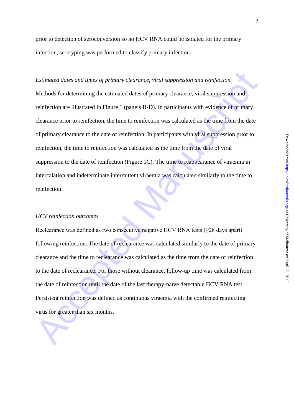prior to detection of seroconversion so no HCV RNA could be isolated for the primary infection, serotyping was performed to classify primary infection.

# *Estimated dates and times of primary clearance, viral suppression and reinfection*

*Estimated dates and times of primary clearance, viral suppression and reinfection*<br>Methods for determining the estimated dates of primary clearance, viral suppression and<br>reinfection are illustrated in Figure 1 (panels B-Methods for determining the estimated dates of primary clearance, viral suppression and reinfection are illustrated in Figure 1 (panels B-D). In participants with evidence of primary clearance prior to reinfection, the time to reinfection was calculated as the time from the date of primary clearance to the date of reinfection. In participants with viral suppression prior to reinfection, the time to reinfection was calculated as the time from the date of viral suppression to the date of reinfection (Figure 1C). The time to reappearance of viraemia in intercalation and indeterminate intermittent viraemia was calculated similarly to the time to reinfection.

#### *HCV reinfection outcomes*

Reclearance was defined as two consecutive negative HCV RNA tests  $(\geq 28 \text{ days apart})$ following reinfection. The date of reclearance was calculated similarly to the date of primary clearance and the time to reclearance was calculated as the time from the date of reinfection to the date of reclearance. For those without clearance, follow-up time was calculated from the date of reinfection until the date of the last therapy-naïve detectable HCV RNA test. Persistent reinfection was defined as continuous viraemia with the confirmed reinfecting virus for greater than six months.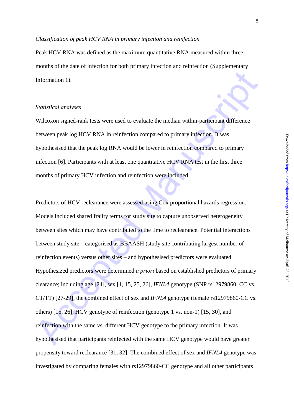### *Classification of peak HCV RNA in primary infection and reinfection*

Peak HCV RNA was defined as the maximum quantitative RNA measured within three months of the date of infection for both primary infection and reinfection (Supplementary Information 1).

### *Statistical analyses*

Wilcoxon signed-rank tests were used to evaluate the median within-participant difference between peak log HCV RNA in reinfection compared to primary infection. It was hypothesised that the peak log RNA would be lower in reinfection compared to primary infection [6]. Participants with at least one quantitative HCV RNA test in the first three months of primary HCV infection and reinfection were included.

Information 1).<br>
Statistical analyses<br>
Wilcoxon signed-runk tests were used to evaluate the median within-participant difference<br>
hetween peak log HCV RNA in reinfection compared to primary infection. If was<br>
hypothesised Predictors of HCV reclearance were assessed using Cox proportional hazards regression. Models included shared frailty terms for study site to capture unobserved heterogeneity between sites which may have contributed to the time to reclearance. Potential interactions between study site – categorised as BBAASH (study site contributing largest number of reinfection events) versus other sites – and hypothesised predictors were evaluated. Hypothesized predictors were determined *a priori* based on established predictors of primary clearance; including age [24], sex [1, 15, 25, 26], *IFNL4* genotype (SNP rs12979860; CC vs. CT/TT) [27-29], the combined effect of sex and *IFNL4* genotype (female rs12979860-CC vs. others) [15, 26], HCV genotype of reinfection (genotype 1 vs. non-1) [15, 30], and reinfection with the same vs. different HCV genotype to the primary infection. It was hypothesised that participants reinfected with the same HCV genotype would have greater propensity toward reclearance [31, 32]. The combined effect of sex and *IFNL4* genotype was investigated by comparing females with rs12979860-CC genotype and all other participants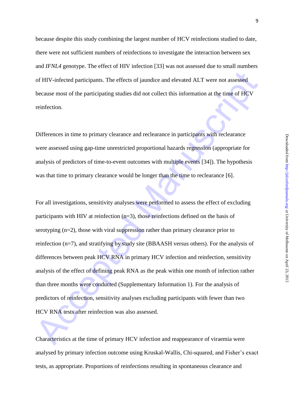because despite this study combining the largest number of HCV reinfections studied to date, there were not sufficient numbers of reinfections to investigate the interaction between sex and *IFNL4* genotype. The effect of HIV infection [33] was not assessed due to small numbers of HIV-infected participants. The effects of jaundice and elevated ALT were not assessed because most of the participating studies did not collect this information at the time of HCV reinfection.

Differences in time to primary clearance and reclearance in participants with reclearance were assessed using gap-time unrestricted proportional hazards regression (appropriate for analysis of predictors of time-to-event outcomes with multiple events [34]). The hypothesis was that time to primary clearance would be longer than the time to reclearance [6].

of HIV-infected participants. The effects of jaundice and elevated ALT were not assessed<br>because most of the participating stadies did not collect this information at the time of HCV<br>reinfection.<br>Differences in time to pri For all investigations, sensitivity analyses were performed to assess the effect of excluding participants with HIV at reinfection (n=3), those reinfections defined on the basis of serotyping (n=2), those with viral suppression rather than primary clearance prior to reinfection (n=7), and stratifying by study site (BBAASH versus others). For the analysis of differences between peak HCV RNA in primary HCV infection and reinfection, sensitivity analysis of the effect of defining peak RNA as the peak within one month of infection rather than three months were conducted (Supplementary Information 1). For the analysis of predictors of reinfection, sensitivity analyses excluding participants with fewer than two HCV RNA tests after reinfection was also assessed.

Characteristics at the time of primary HCV infection and reappearance of viraemia were analysed by primary infection outcome using Kruskal-Wallis, Chi-squared, and Fisher's exact tests, as appropriate. Proportions of reinfections resulting in spontaneous clearance and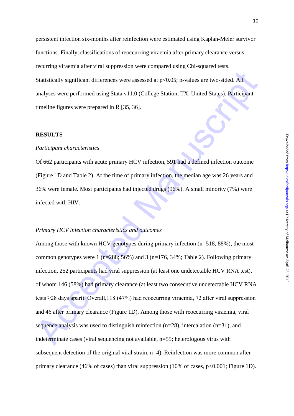persistent infection six-months after reinfection were estimated using Kaplan-Meier survivor functions. Finally, classifications of reoccurring viraemia after primary clearance versus recurring viraemia after viral suppression were compared using Chi-squared tests. Statistically significant differences were assessed at p<0.05; p-values are two-sided. All analyses were performed using Stata v11.0 (College Station, TX, United States). Participant timeline figures were prepared in R [35, 36].

#### **RESULTS**

### *Participant characteristics*

Of 662 participants with acute primary HCV infection, 591 had a defined infection outcome (Figure 1D and Table 2). At the time of primary infection, the median age was 26 years and 36% were female. Most participants had injected drugs (96%). A small minority (7%) were infected with HIV.

#### *Primary HCV infection characteristics and outcomes*

Statistically significant differences were assessed at p<0.05; p-values are two-sided. All<br>analyses were performed using Stata v11.0 (College Station, TX, United States). Participant<br>timeline figures were prepared in R [3 Among those with known HCV genotypes during primary infection (n=518, 88%), the most common genotypes were  $1$  (n=288; 56%) and 3 (n=176, 34%; Table 2). Following primary infection, 252 participants had viral suppression (at least one undetectable HCV RNA test), of whom 146 (58%) had primary clearance (at least two consecutive undetectable HCV RNA tests ≥28 days apart). Overall,118 (47%) had reoccurring viraemia, 72 after viral suppression and 46 after primary clearance (Figure 1D). Among those with reoccurring viraemia, viral sequence analysis was used to distinguish reinfection  $(n=28)$ , intercalation  $(n=31)$ , and indeterminate cases (viral sequencing not available, n=55; heterologous virus with subsequent detection of the original viral strain, n=4). Reinfection was more common after primary clearance (46% of cases) than viral suppression (10% of cases,  $p<0.001$ ; Figure 1D).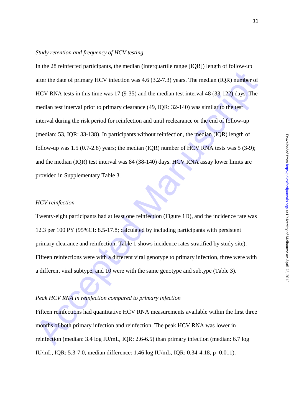# *Study retention and frequency of HCV testing*

after the date of primary HCV infection was  $4.6 (3.2-7.3)$  years. The median (IQR) number of<br>HCV RNA lests in this line was 17 (9-35) and the median test interval 48 (33-122) days. The<br>median test interval prior to primar In the 28 reinfected participants, the median (interquartile range [IQR]) length of follow-up after the date of primary HCV infection was 4.6 (3.2-7.3) years. The median (IQR) number of HCV RNA tests in this time was 17 (9-35) and the median test interval 48 (33-122) days. The median test interval prior to primary clearance (49, IQR: 32-140) was similar to the test interval during the risk period for reinfection and until reclearance or the end of follow-up (median: 53, IQR: 33-138). In participants without reinfection, the median (IQR) length of follow-up was  $1.5$  (0.7-2.8) years; the median (IQR) number of HCV RNA tests was  $5$  (3-9); and the median (IQR) test interval was 84 (38-140) days. HCV RNA assay lower limits are provided in Supplementary Table 3.

# *HCV reinfection*

Twenty-eight participants had at least one reinfection (Figure 1D), and the incidence rate was 12.3 per 100 PY (95%CI: 8.5-17.8; calculated by including participants with persistent primary clearance and reinfection; Table 1 shows incidence rates stratified by study site). Fifteen reinfections were with a different viral genotype to primary infection, three were with a different viral subtype, and 10 were with the same genotype and subtype (Table 3).

#### *Peak HCV RNA in reinfection compared to primary infection*

Fifteen reinfections had quantitative HCV RNA measurements available within the first three months of both primary infection and reinfection. The peak HCV RNA was lower in reinfection (median: 3.4 log IU/mL, IQR: 2.6-6.5) than primary infection (median: 6.7 log IU/mL, IQR: 5.3-7.0, median difference: 1.46 log IU/mL, IQR: 0.34-4.18, p=0.011).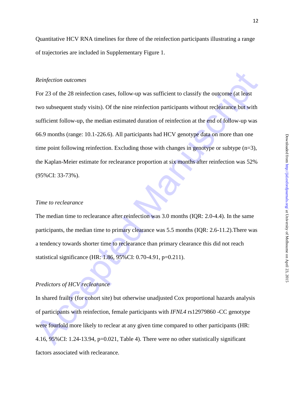12

Quantitative HCV RNA timelines for three of the reinfection participants illustrating a range of trajectories are included in Supplementary Figure 1.

### *Reinfection outcomes*

*Reinfection outcomes*<br>
For 23 of the 28 reinfection cases, follow-up was sufficient to classify the outcome (at least<br>
two subsequent study visits). Of the nine reinfection participants without reclearance but with<br>
suff For 23 of the 28 reinfection cases, follow-up was sufficient to classify the outcome (at least two subsequent study visits). Of the nine reinfection participants without reclearance but with sufficient follow-up, the median estimated duration of reinfection at the end of follow-up was 66.9 months (range: 10.1-226.6). All participants had HCV genotype data on more than one time point following reinfection. Excluding those with changes in genotype or subtype (n=3), the Kaplan-Meier estimate for reclearance proportion at six months after reinfection was 52% (95%CI: 33-73%).

# *Time to reclearance*

The median time to reclearance after reinfection was 3.0 months (IQR: 2.0-4.4). In the same participants, the median time to primary clearance was 5.5 months (IQR: 2.6-11.2).There was a tendency towards shorter time to reclearance than primary clearance this did not reach statistical significance (HR: 1.86, 95%CI: 0.70-4.91, p=0.211).

# *Predictors of HCV reclearance*

In shared frailty (for cohort site) but otherwise unadjusted Cox proportional hazards analysis of participants with reinfection, female participants with *IFNL4* rs12979860 -CC genotype were fourfold more likely to reclear at any given time compared to other participants (HR: 4.16, 95%CI: 1.24-13.94, p=0.021, Table 4). There were no other statistically significant factors associated with reclearance.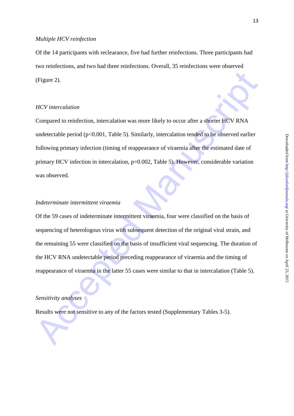### *Multiple HCV reinfection*

Of the 14 participants with reclearance, five had further reinfections. Three participants had two reinfections, and two had three reinfections. Overall, 35 reinfections were observed (Figure 2).

# *HCV intercalation*

(Figure 2).<br>
HCV intercalation<br>
Compared to reinfection, intercalation was more likely to occur after a shorter HCV RNA<br>
undetectable period (p<0.001, Table 5). Similarly, intercalation tended to be observed earlier<br>
follo Compared to reinfection, intercalation was more likely to occur after a shorter HCV RNA undetectable period  $(p<0.001$ , Table 5). Similarly, intercalation tended to be observed earlier following primary infection (timing of reappearance of viraemia after the estimated date of primary HCV infection in intercalation, p=0.002, Table 5). However, considerable variation was observed.

# *Indeterminate intermittent viraemia*

Of the 59 cases of indeterminate intermittent viraemia, four were classified on the basis of sequencing of heterologous virus with subsequent detection of the original viral strain, and the remaining 55 were classified on the basis of insufficient viral sequencing. The duration of the HCV RNA undetectable period preceding reappearance of viraemia and the timing of reappearance of viraemia in the latter 55 cases were similar to that in intercalation (Table 5).

# *Sensitivity analyses*

Results were not sensitive to any of the factors tested (Supplementary Tables 3-5).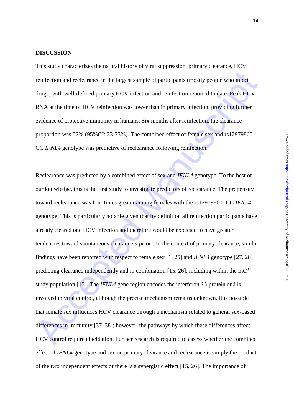#### **DISCUSSION**

This study characterizes the natural history of viral suppression, primary clearance, HCV reinfection and reclearance in the largest sample of participants (mostly people who inject drugs) with well-defined primary HCV infection and reinfection reported to date. Peak HCV RNA at the time of HCV reinfection was lower than in primary infection, providing further evidence of protective immunity in humans. Six months after reinfection, the clearance proportion was 52% (95%CI: 33-73%). The combined effect of female sex and rs12979860 - CC *IFNL4* genotype was predictive of reclearance following reinfection.

reinfection and reclearance in the largest sample of participants (mostly people who inject<br>drugs) with well-defined primary HCV infection and reinfection reported to date. Peak HCV<br>RNA at the time of HCV reinfection was Reclearance was predicted by a combined effect of sex and *IFNL4* genotype. To the best of our knowledge, this is the first study to investigate predictors of reclearance. The propensity toward reclearance was four times greater among females with the rs12979860 -CC *IFNL4*  genotype. This is particularly notable given that by definition all reinfection participants have already cleared one HCV infection and therefore would be expected to have greater tendencies toward spontaneous clearance *a priori*. In the context of primary clearance, similar findings have been reported with respect to female sex [1, 25] and *IFNL4* genotype [27, 28] predicting clearance independently and in combination [15, 26], including within the  $InC<sup>3</sup>$ study population [15]. The *IFNLA* gene region encodes the interferon- $\lambda$ 3 protein and is involved in viral control, although the precise mechanism remains unknown. It is possible that female sex influences HCV clearance through a mechanism related to general sex-based differences in immunity [37, 38]; however, the pathways by which these differences affect HCV control require elucidation. Further research is required to assess whether the combined effect of *IFNL4* genotype and sex on primary clearance and reclearance is simply the product of the two independent effects or there is a synergistic effect [15, 26]. The importance of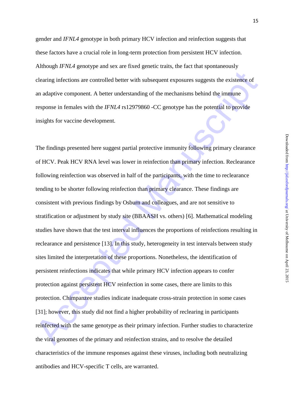gender and *IFNL4* genotype in both primary HCV infection and reinfection suggests that these factors have a crucial role in long-term protection from persistent HCV infection. Although *IFNL4* genotype and sex are fixed genetic traits, the fact that spontaneously clearing infections are controlled better with subsequent exposures suggests the existence of an adaptive component. A better understanding of the mechanisms behind the immune response in females with the *IFNL4* rs12979860 -CC genotype has the potential to provide insights for vaccine development.

elearing infections are controlled better with subsequent exposures suggests the existence of<br>an adaptive component. A better understanding of the mechanisms behind the immune<br>response in females with the  $IFNIA$  is 1297986 The findings presented here suggest partial protective immunity following primary clearance of HCV. Peak HCV RNA level was lower in reinfection than primary infection. Reclearance following reinfection was observed in half of the participants, with the time to reclearance tending to be shorter following reinfection than primary clearance. These findings are consistent with previous findings by Osburn and colleagues, and are not sensitive to stratification or adjustment by study site (BBAASH vs. others) [6]. Mathematical modeling studies have shown that the test interval influences the proportions of reinfections resulting in reclearance and persistence [13]. In this study, heterogeneity in test intervals between study sites limited the interpretation of these proportions. Nonetheless, the identification of persistent reinfections indicates that while primary HCV infection appears to confer protection against persistent HCV reinfection in some cases, there are limits to this protection. Chimpanzee studies indicate inadequate cross-strain protection in some cases [31]; however, this study did not find a higher probability of reclearing in participants reinfected with the same genotype as their primary infection. Further studies to characterize the viral genomes of the primary and reinfection strains, and to resolve the detailed characteristics of the immune responses against these viruses, including both neutralizing antibodies and HCV-specific T cells, are warranted.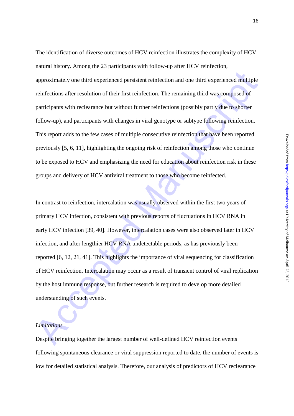approximately one third experienced persistent reinfection and one third experienced multiple reinfections after resolution of their first reinfection. The remaining third was composed of participants with reclearance but The identification of diverse outcomes of HCV reinfection illustrates the complexity of HCV natural history. Among the 23 participants with follow-up after HCV reinfection, approximately one third experienced persistent reinfection and one third experienced multiple reinfections after resolution of their first reinfection. The remaining third was composed of participants with reclearance but without further reinfections (possibly partly due to shorter follow-up), and participants with changes in viral genotype or subtype following reinfection. This report adds to the few cases of multiple consecutive reinfection that have been reported previously [5, 6, 11], highlighting the ongoing risk of reinfection among those who continue to be exposed to HCV and emphasizing the need for education about reinfection risk in these groups and delivery of HCV antiviral treatment to those who become reinfected.

In contrast to reinfection, intercalation was usually observed within the first two years of primary HCV infection, consistent with previous reports of fluctuations in HCV RNA in early HCV infection [39, 40]. However, intercalation cases were also observed later in HCV infection, and after lengthier HCV RNA undetectable periods, as has previously been reported [6, 12, 21, 41]. This highlights the importance of viral sequencing for classification of HCV reinfection. Intercalation may occur as a result of transient control of viral replication by the host immune response, but further research is required to develop more detailed understanding of such events.

# *Limitations*

Despite bringing together the largest number of well-defined HCV reinfection events following spontaneous clearance or viral suppression reported to date, the number of events is low for detailed statistical analysis. Therefore, our analysis of predictors of HCV reclearance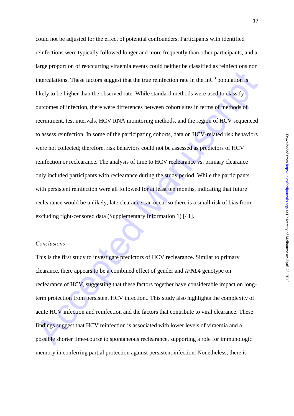interculations. These factors suggest that the true reinfection rate in the InC<sup>5</sup> population is<br>
likely to he higher than the observed rate. While standard methods were used to classify<br>
outcomes of infection, there were could not be adjusted for the effect of potential confounders. Participants with identified reinfections were typically followed longer and more frequently than other participants, and a large proportion of reoccurring viraemia events could neither be classified as reinfections nor intercalations. These factors suggest that the true reinfection rate in the  $InC<sup>3</sup>$  population is likely to be higher than the observed rate. While standard methods were used to classify outcomes of infection, there were differences between cohort sites in terms of methods of recruitment, test intervals, HCV RNA monitoring methods, and the region of HCV sequenced to assess reinfection. In some of the participating cohorts, data on HCV-related risk behaviors were not collected; therefore, risk behaviors could not be assessed as predictors of HCV reinfection or reclearance. The analysis of time to HCV reclearance vs. primary clearance only included participants with reclearance during the study period. While the participants with persistent reinfection were all followed for at least ten months, indicating that future reclearance would be unlikely, late clearance can occur so there is a small risk of bias from excluding right-censored data (Supplementary Information 1) [41].

# *Conclusions*

This is the first study to investigate predictors of HCV reclearance. Similar to primary clearance, there appears to be a combined effect of gender and *IFNL4* genotype on reclearance of HCV, suggesting that these factors together have considerable impact on longterm protection from persistent HCV infection.. This study also highlights the complexity of acute HCV infection and reinfection and the factors that contribute to viral clearance. These findings suggest that HCV reinfection is associated with lower levels of viraemia and a possible shorter time-course to spontaneous reclearance, supporting a role for immunologic memory in conferring partial protection against persistent infection. Nonetheless, there is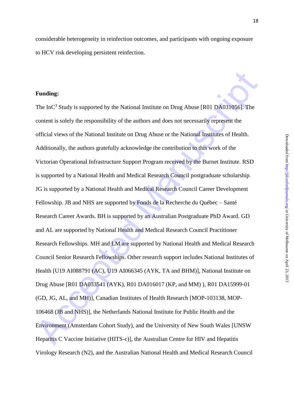considerable heterogeneity in reinfection outcomes, and participants with ongoing exposure to HCV risk developing persistent reinfection.

## **Funding:**

**Funding:**<br>The InC<sup>2</sup> Study is supported by the National Institute on Drug Abuse [R01 DA031056]. The content is solely the responsibility of the undors and does not necessarily represent the official views of the National The  $InC<sup>3</sup>$  Study is supported by the National Institute on Drug Abuse [R01 DA031056]. The content is solely the responsibility of the authors and does not necessarily represent the official views of the National Institute on Drug Abuse or the National Institutes of Health. Additionally, the authors gratefully acknowledge the contribution to this work of the Victorian Operational Infrastructure Support Program received by the Burnet Institute. RSD is supported by a National Health and Medical Research Council postgraduate scholarship. JG is supported by a National Health and Medical Research Council Career Development Fellowship. JB and NHS are supported by Fonds de la Recherche du Québec – Santé Research Career Awards. BH is supported by an Australian Postgraduate PhD Award. GD and AL are supported by National Health and Medical Research Council Practitioner Research Fellowships. MH and LM are supported by National Health and Medical Research Council Senior Research Fellowships. Other research support includes National Institutes of Health [U19 AI088791 (AC), U19 AI066345 (AYK, TA and BHM)], National Institute on Drug Abuse [R01 DA033541 (AYK), R01 DA016017 (KP, and MM) ), R01 DA15999-01 (GD, JG, AL, and MH)], Canadian Institutes of Health Research [MOP-103138, MOP-106468 (JB and NHS)], the Netherlands National Institute for Public Health and the Environment (Amsterdam Cohort Study), and the University of New South Wales [UNSW Hepatitis C Vaccine Initiative (HITS-c)], the Australian Centre for HIV and Hepatitis Virology Research (N2), and the Australian National Health and Medical Research Council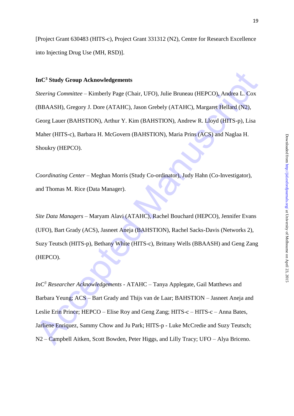19

[Project Grant 630483 (HITS-c), Project Grant 331312 (N2), Centre for Research Excellence into Injecting Drug Use (MH, RSD)].

# **InC<sup>3</sup> Study Group Acknowledgements**

InC<sup>3</sup> Study Group Acknowledgements<br>
Steering Committee – Kimberly Page (Chair, UFO), Julie Bruneau (HEPCO), Andrea I. Cox<br>
(BBAASH), Gregory J. Dore (ATAHC), Jason Grebely (ATAHC), Margaret Hellard (N2),<br>
Georg Lauer (BA *Steering Committee* – Kimberly Page (Chair, UFO), Julie Bruneau (HEPCO), Andrea L. Cox (BBAASH), Gregory J. Dore (ATAHC), Jason Grebely (ATAHC), Margaret Hellard (N2), Georg Lauer (BAHSTION), Arthur Y. Kim (BAHSTION), Andrew R. Lloyd (HITS-p), Lisa Maher (HITS-c), Barbara H. McGovern (BAHSTION), Maria Prins (ACS) and Naglaa H. Shoukry (HEPCO).

*Coordinating Center* – Meghan Morris (Study Co-ordinator), Judy Hahn (Co-Investigator), and Thomas M. Rice (Data Manager).

*Site Data Managers* – Maryam Alavi (ATAHC), Rachel Bouchard (HEPCO), Jennifer Evans (UFO), Bart Grady (ACS), Jasneet Aneja (BAHSTION), Rachel Sacks-Davis (Networks 2), Suzy Teutsch (HITS-p), Bethany White (HITS-c), Brittany Wells (BBAASH) and Geng Zang (HEPCO).

*InC<sup>3</sup> Researcher Acknowledgements* - ATAHC – Tanya Applegate, Gail Matthews and Barbara Yeung; ACS – Bart Grady and Thijs van de Laar; BAHSTION – Jasneet Aneja and Leslie Erin Prince; HEPCO – Elise Roy and Geng Zang; HITS-c – HITS-c – Anna Bates, Jarliene Enriquez, Sammy Chow and Ju Park; HITS-p - Luke McCredie and Suzy Teutsch; N2 – Campbell Aitken, Scott Bowden, Peter Higgs, and Lilly Tracy; UFO – Alya Briceno.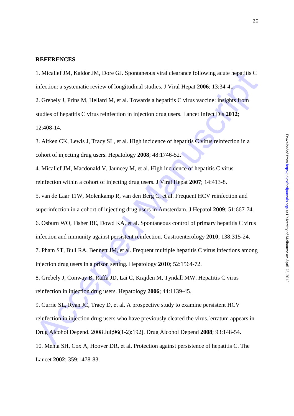#### **REFERENCES**

1. Micallef JM, Kaldor JM, Dore GJ. Spontaneous viral clearance following acute hepatitis C infection: a systematic review of longitudinal studies. J Viral Hepat **2006**; 13:34-41.

2. Grebely J, Prins M, Hellard M, et al. Towards a hepatitis C virus vaccine: insights from studies of hepatitis C virus reinfection in injection drug users. Lancet Infect Dis **2012**;

12:408-14.

3. Aitken CK, Lewis J, Tracy SL, et al. High incidence of hepatitis C virus reinfection in a cohort of injecting drug users. Hepatology **2008**; 48:1746-52.

4. Micallef JM, Macdonald V, Jauncey M, et al. High incidence of hepatitis C virus reinfection within a cohort of injecting drug users. J Viral Hepat **2007**; 14:413-8.

5. van de Laar TJW, Molenkamp R, van den Berg C, et al. Frequent HCV reinfection and

superinfection in a cohort of injecting drug users in Amsterdam. J Hepatol **2009**; 51:667-74.

6. Osburn WO, Fisher BE, Dowd KA, et al. Spontaneous control of primary hepatitis C virus

infection and immunity against persistent reinfection. Gastroenterology **2010**; 138:315-24.

7. Pham ST, Bull RA, Bennett JM, et al. Frequent multiple hepatitis C virus infections among injection drug users in a prison setting. Hepatology **2010**; 52:1564-72.

8. Grebely J, Conway B, Raffa JD, Lai C, Krajden M, Tyndall MW. Hepatitis C virus reinfection in injection drug users. Hepatology **2006**; 44:1139-45.

1. Micallef JM, Kaldor JM, Dore GJ. Spontaneous viral elearance following acute hepatitis C<br>
infection: a systematic review of longitudinal studies. J Viral Hepat 2006; 13:34-41,<br>
2. Grebely J, Prins M, Hellard M, et al. 9. Currie SL, Ryan JC, Tracy D, et al. A prospective study to examine persistent HCV reinfection in injection drug users who have previously cleared the virus.[erratum appears in Drug Alcohol Depend. 2008 Jul;96(1-2):192]. Drug Alcohol Depend **2008**; 93:148-54.

10. Mehta SH, Cox A, Hoover DR, et al. Protection against persistence of hepatitis C. The Lancet **2002**; 359:1478-83.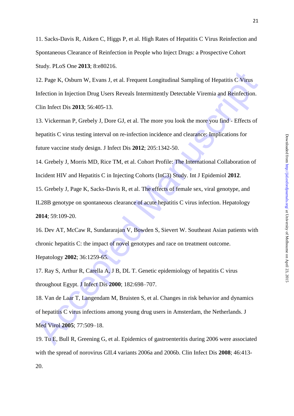11. Sacks-Davis R, Aitken C, Higgs P, et al. High Rates of Hepatitis C Virus Reinfection and Spontaneous Clearance of Reinfection in People who Inject Drugs: a Prospective Cohort Study. PLoS One **2013**; 8:e80216.

12. Page K, Osburn W, Evans J, et al. Frequent Longitudinal Sampling of Hepatitis C Viens<br>Infection in Injection Drug Users Reveals Intermittently Detectable Viremia and Reinfection.<br>Clin Infect Dis 2013; 56:405-13.<br>
13. 12. Page K, Osburn W, Evans J, et al. Frequent Longitudinal Sampling of Hepatitis C Virus Infection in Injection Drug Users Reveals Intermittently Detectable Viremia and Reinfection. Clin Infect Dis **2013**; 56:405-13.

13. Vickerman P, Grebely J, Dore GJ, et al. The more you look the more you find - Effects of hepatitis C virus testing interval on re-infection incidence and clearance: Implications for future vaccine study design. J Infect Dis **2012**; 205:1342-50.

14. Grebely J, Morris MD, Rice TM, et al. Cohort Profile: The International Collaboration of Incident HIV and Hepatitis C in Injecting Cohorts (InC3) Study. Int J Epidemiol **2012**.

15. Grebely J, Page K, Sacks-Davis R, et al. The effects of female sex, viral genotype, and

IL28B genotype on spontaneous clearance of acute hepatitis C virus infection. Hepatology **2014**; 59:109-20.

16. Dev AT, McCaw R, Sundararajan V, Bowden S, Sievert W. Southeast Asian patients with chronic hepatitis C: the impact of novel genotypes and race on treatment outcome. Hepatology **2002**; 36:1259-65.

17. Ray S, Arthur R, Carella A, J B, DL T. Genetic epidemiology of hepatitis C virus throughout Egypt. J Infect Dis **2000**; 182:698–707.

18. Van de Laar T, Langendam M, Bruisten S, et al. Changes in risk behavior and dynamics of hepatitis C virus infections among young drug users in Amsterdam, the Netherlands. J Med Virol **2005**; 77:509–18.

19. Tu E, Bull R, Greening G, et al. Epidemics of gastroenteritis during 2006 were associated with the spread of norovirus GII.4 variants 2006a and 2006b. Clin Infect Dis **2008**; 46:413- 20.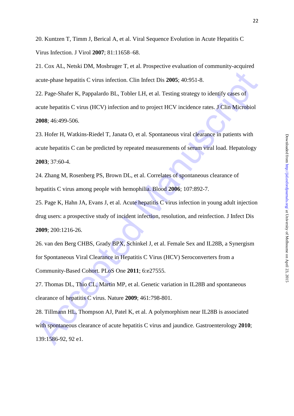20. Kuntzen T, Timm J, Berical A, et al. Viral Sequence Evolution in Acute Hepatitis C Virus Infection. J Virol **2007**; 81:11658–68.

21. Cox AL, Netski DM, Mosbruger T, et al. Prospective evaluation of community-acquired acute-phase hepatitis C virus infection. Clin Infect Dis **2005**; 40:951-8.

22. Page-Shafer K, Pappalardo BL, Tobler LH, et al. Testing strategy to identify cases of acute hepatitis C virus (HCV) infection and to project HCV incidence rates. J Clin Microbiol **2008**; 46:499-506.

23. Hofer H, Watkins-Riedel T, Janata O, et al. Spontaneous viral clearance in patients with acute hepatitis C can be predicted by repeated measurements of serum viral load. Hepatology **2003**; 37:60-4.

24. Zhang M, Rosenberg PS, Brown DL, et al. Correlates of spontaneous clearance of hepatitis C virus among people with hemophilia. Blood **2006**; 107:892-7.

acute-phase hepatitis C virus infection. Clin Infect Dis 2005; 40:951-8.<br>22. Page-Shafer K, Pappalardo B1, Tobler LH, et al. Testing strategy to identify cases of<br>acute hepatitis C virus (HCV) infection and to project HCV 25. Page K, Hahn JA, Evans J, et al. Acute hepatitis C virus infection in young adult injection drug users: a prospective study of incident infection, resolution, and reinfection. J Infect Dis **2009**; 200:1216-26.

26. van den Berg CHBS, Grady BPX, Schinkel J, et al. Female Sex and IL28B, a Synergism for Spontaneous Viral Clearance in Hepatitis C Virus (HCV) Seroconverters from a Community-Based Cohort. PLoS One **2011**; 6:e27555.

27. Thomas DL, Thio CL, Martin MP, et al. Genetic variation in IL28B and spontaneous clearance of hepatitis C virus. Nature **2009**; 461:798-801.

28. Tillmann HL, Thompson AJ, Patel K, et al. A polymorphism near IL28B is associated with spontaneous clearance of acute hepatitis C virus and jaundice. Gastroenterology **2010**; 139:1586-92, 92 e1.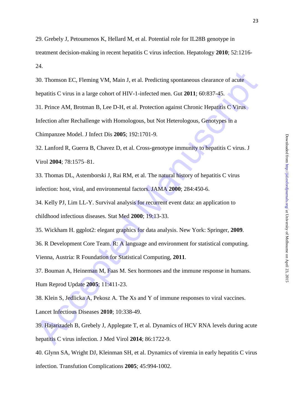29. Grebely J, Petoumenos K, Hellard M, et al. Potential role for IL28B genotype in treatment decision-making in recent hepatitis C virus infection. Hepatology **2010**; 52:1216- 24.

30. Thomson EC, Fleming VM, Main J, et al. Predicting spontaneous clearance of acute hepatitis C virus in a large cohort of HIV-1-infected men. Gut **2011**; 60:837-45.

30. Thomson EC, Fleming VM, Main J, et al. Predicting spontaneous clearance of acate<br>
hepaitis C virus in a large colori of HIV-1-infected men. Gui 2011; 60:837-45.<br>
31. Prince AM, Brotman B, Lee D-H, et al. Protection aga 31. Prince AM, Brotman B, Lee D-H, et al. Protection against Chronic Hepatitis C Virus Infection after Rechallenge with Homologous, but Not Heterologous, Genotypes in a Chimpanzee Model. J Infect Dis **2005**; 192:1701-9.

32. Lanford R, Guerra B, Chavez D, et al. Cross-genotype immunity to hepatitis C virus. J Virol **2004**; 78:1575–81.

33. Thomas DL, Astemborski J, Rai RM, et al. The natural history of hepatitis C virus infection: host, viral, and environmental factors. JAMA **2000**; 284:450-6.

34. Kelly PJ, Lim LL-Y. Survival analysis for recurrent event data: an application to childhood infectious diseases. Stat Med **2000**; 19:13-33.

35. Wickham H. ggplot2: elegant graphics for data analysis. New York: Springer, **2009**.

36. R Development Core Team. R: A language and environment for statistical computing.

Vienna, Austria: R Foundation for Statistical Computing, **2011**.

37. Bouman A, Heineman M, Faas M. Sex hormones and the immune response in humans. Hum Reprod Update **2005**; 11:411-23.

38. Klein S, Jedlicka A, Pekosz A. The Xs and Y of immune responses to viral vaccines. Lancet Infectious Diseases **2010**; 10:338-49.

39. Hajarizadeh B, Grebely J, Applegate T, et al. Dynamics of HCV RNA levels during acute hepatitis C virus infection. J Med Virol **2014**; 86:1722-9.

40. Glynn SA, Wright DJ, Kleinman SH, et al. Dynamics of viremia in early hepatitis C virus infection. Transfution Complications **2005**; 45:994-1002.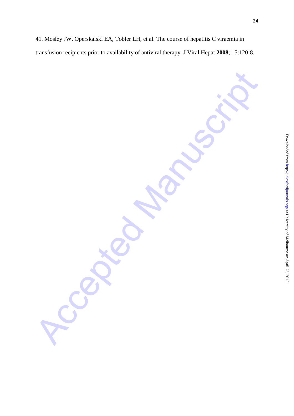transfusion recipients prior to availability of antiviral therapy. J Viral Hepat **2008**; 15:120-8.

41. Mosley JW, Operskalski EA, Tobler LH, et al. The course of hepatitis C viraemia in

Accepted Manuscript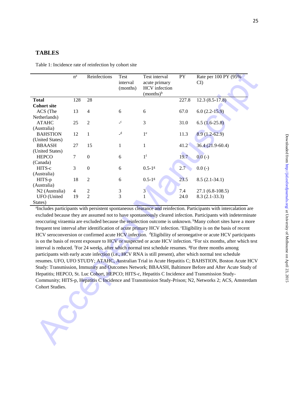### **TABLES**

Table 1: Incidence rate of reinfection by cohort site

|                            | $\rm n^a$      | Reinfections            | Test<br>interval<br>(months) | Test interval<br>acute primary<br><b>HCV</b> infection<br>$(months)^b$ | PY    | Rate per 100 PY (95%<br>CI                                                                                                    |
|----------------------------|----------------|-------------------------|------------------------------|------------------------------------------------------------------------|-------|-------------------------------------------------------------------------------------------------------------------------------|
| <b>Total</b>               | 128            | 28                      |                              |                                                                        | 227.8 | $12.3(8.5-17.8)$                                                                                                              |
| <b>Cohort site</b>         |                |                         |                              |                                                                        |       |                                                                                                                               |
| ACS (The                   | 13             | $\overline{4}$          | 6                            | 6                                                                      | 67.0  | $6.0(2.2-15.9)$                                                                                                               |
| Netherlands)               |                |                         |                              |                                                                        |       |                                                                                                                               |
| <b>ATAHC</b>               | 25             | 2                       | $\_c$                        | $\mathfrak{Z}$                                                         | 31.0  | $6.5(1.6-25.8)$                                                                                                               |
| (Australia)                |                |                         | $-d$                         |                                                                        |       |                                                                                                                               |
| <b>BAHSTION</b>            | 12             | $\mathbf{1}$            |                              | 1 <sup>e</sup>                                                         | 11.3  | $8.9(1.2-62.9)$                                                                                                               |
| (United States)            |                |                         |                              |                                                                        |       |                                                                                                                               |
| <b>BBAASH</b>              | 27             | 15                      | $\mathbf{1}$                 | $\mathbf{1}$                                                           | 41.2  | $36.4(21.9-60.4)$                                                                                                             |
| (United States)            |                | $\boldsymbol{0}$        |                              | 1 <sup>f</sup>                                                         |       |                                                                                                                               |
| <b>HEPCO</b><br>(Canada)   | 7              |                         | 6                            |                                                                        | 19.7  | $0.0(-)$                                                                                                                      |
| HITS-c                     | 3              | $\mathbf{0}$            | 6                            | $0.5 - 1$ g                                                            | 2.7   | $0.0(-)$                                                                                                                      |
| (Australia)                |                |                         |                              |                                                                        |       |                                                                                                                               |
| HITS-p                     | 18             | 2                       | 6                            | $0.5 - 1$ g                                                            | 23.5  | $8.5(2.1-34.1)$                                                                                                               |
| (Australia)                |                |                         |                              |                                                                        |       |                                                                                                                               |
| N <sub>2</sub> (Australia) | $\overline{4}$ | $\overline{\mathbf{c}}$ | $\ensuremath{\mathfrak{Z}}$  | 3                                                                      | 7.4   | $27.1(6.8-108.5)$                                                                                                             |
| <b>UFO</b> (United         | 19             | $\overline{2}$          | $\overline{3}$               | 1                                                                      | 24.0  | $8.3(2.1-33.3)$                                                                                                               |
| States)                    |                |                         |                              |                                                                        |       |                                                                                                                               |
|                            |                |                         |                              |                                                                        |       | <sup>a</sup> Includes participants with persistent spontaneous clearance and reinfection. Participants with intercalation are |
|                            |                |                         |                              |                                                                        |       | excluded because they are assumed not to have spontaneously cleared infection. Participants with indeterminate                |
|                            |                |                         |                              |                                                                        |       | reoccuring viraemia are excluded because the reinfection outcome is unknown. Many cohort sites have a more                    |
|                            |                |                         |                              |                                                                        |       | frequent test interval after identification of acute primary HCV infection. Eligibility is on the basis of recent             |
|                            |                |                         |                              |                                                                        |       | HCV seroconversion or confirmed acute HCV infection. <sup>d</sup> Eligibility of seronegative or acute HCV participants       |
|                            |                |                         |                              |                                                                        |       | is on the basis of recent exposure to HCV or suspected or acute HCV infection. °For six months, after which test              |
|                            |                |                         |                              |                                                                        |       | interval is reduced. For 24 weeks, after which normal test schedule resumes. <sup>g</sup> For three months among              |
|                            |                |                         |                              |                                                                        |       | participants with early acute infection (i.e., HCV RNA is still present), after which normal test schedule                    |
|                            |                |                         |                              |                                                                        |       | resumes. UFO, UFO STUDY; ATAHC, Australian Trial in Acute Hepatitis C; BAHSTION, Boston Acute HCV                             |
|                            |                |                         |                              |                                                                        |       |                                                                                                                               |
|                            |                |                         |                              |                                                                        |       | Study: Transmission, Immunity and Outcomes Network; BBAASH, Baltimore Before and After Acute Study of                         |
|                            |                |                         |                              |                                                                        |       | Hepatitis; HEPCO, St. Luc Cohort, HEPCO; HITS-c, Hepatitis C Incidence and Transmission Study-                                |
|                            |                |                         |                              |                                                                        |       | Community; HITS-p, Hepatitis C Incidence and Transmission Study-Prison; N2, Networks 2; ACS, Amsterdam                        |
| Cohort Studies.            |                |                         |                              |                                                                        |       |                                                                                                                               |
|                            |                |                         |                              |                                                                        |       |                                                                                                                               |
|                            |                |                         |                              |                                                                        |       |                                                                                                                               |
|                            |                |                         |                              |                                                                        |       |                                                                                                                               |
|                            |                |                         |                              |                                                                        |       |                                                                                                                               |
|                            |                |                         |                              |                                                                        |       |                                                                                                                               |
|                            |                |                         |                              |                                                                        |       |                                                                                                                               |
|                            |                |                         |                              |                                                                        |       |                                                                                                                               |
|                            |                |                         |                              |                                                                        |       |                                                                                                                               |
|                            |                |                         |                              |                                                                        |       |                                                                                                                               |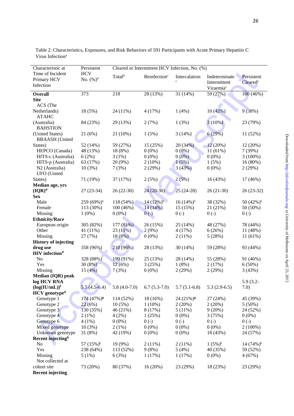| tent               |               |
|--------------------|---------------|
| $d^c$              |               |
|                    |               |
| $\overline{16\%})$ |               |
|                    |               |
|                    |               |
| 6)                 |               |
|                    |               |
| (96)               |               |
|                    |               |
| $\frac{9}{6}$      |               |
|                    |               |
| $)\%$ )            |               |
| %)                 |               |
| $\frac{9}{6}$      |               |
| (96)               |               |
| 6)                 |               |
|                    |               |
| $5\%)$             |               |
|                    |               |
| $3-32)$            |               |
|                    |               |
| $(2%)^e$           |               |
| (96)               |               |
|                    |               |
|                    |               |
| $\frac{1}{6}$      |               |
| $3%$ )             |               |
| %)                 |               |
|                    |               |
| $\frac{1}{6}$      |               |
|                    |               |
| $5\%)$             |               |
| $\mathfrak{b}$ )   |               |
| 6)                 |               |
|                    | April 23, 201 |
| $\cdot$ 2          |               |
|                    |               |

| Time of Incident<br><b>HCV</b><br>Total <sup>b</sup><br>Reinfection <sup>c</sup><br>Intercalation<br>Indeterminate<br>Persistent<br>No. $(\%)^b$<br>Primary HCV<br>$\mathbf c$<br>Intermittent<br>Cleared <sup>c</sup><br>Infection<br>Viraemia <sup>c</sup><br>373<br>218<br>28 (13%)<br>31 (14%)<br>59 $(27%)$<br>100 (46%)<br><b>Overall</b><br><b>Site</b><br>ACS (The<br>10(42%)<br>9(38%)<br>Netherlands)<br>18 (5%)<br>24 (11%)<br>4(17%)<br>1(4%)<br><b>ATAHC</b><br>3(10%)<br>(Australia)<br>84 (23%)<br>29 (13%)<br>2(7%)<br>1(3%)<br>23 (79%)<br><b>BAHSTION</b><br>6(29%)<br>(United States)<br>21(6%)<br>21 (10%)<br>1(5%)<br>3(14%)<br>11 (52%)<br><b>BBAASH</b> (United<br>20(34%)<br>12(20%)<br>52 (14%)<br>59 (27%)<br>15 (25%)<br>12 (20%)<br>States)<br>48 (13%)<br>18 (8%)<br>$0(0\%)$<br>11 (61%)<br>7(39%)<br>HEPCO (Canada)<br>$0(0\%)$<br>HITS-c (Australia)<br>6(2%)<br>3(1%)<br>$0(0\%)$<br>$0(0\%)$<br>$0(0\%)$<br>$3(100\%)$<br>HITS-p (Australia)<br>63 (17%)<br>20 (9%)<br>$2(10\%)$<br>1(5%)<br>16 (80%)<br>1(5%)<br>$0(0\%)$<br>N <sub>2</sub> (Australia)<br>10(3%)<br>7(3%)<br>2(29%)<br>3(43%)<br>2(29%)<br><b>UFO</b> (United<br>2(5%)<br>States)<br>71 (19%)<br>37 (17%)<br>2(5%)<br>16 (43%)<br>17 (46%)<br>Median age, yrs<br>$(IQR)^d$<br>$24(20-30)$<br>$27(23-34)$<br>$26(22-30)$<br>$25(24-28)$<br>$26(21-30)$<br>$26(23-32)$<br><b>Sex</b><br>Male<br>259 (69%) <sup>e</sup><br>$14(12\%)^e$<br>$16(14\%)^e$<br>38 (32%)<br>50 $(42\%)$ <sup>e</sup><br>118 (54%)<br>113 (30%)<br>100 (46%)<br>$14(14\%)$<br>15(15%)<br>21 (21%)<br>50 (50%)<br>Female<br>$0(0\%)$<br>Missing<br>$1(0\%)$<br>$0(-)$<br>$0(-)$<br>$0(-)$<br>$0(-)$<br><b>Ethnicity/Race</b><br>European origin<br>305 (82%)<br>177(81%)<br>26 (15%)<br>25 (14%)<br>48 (27%)<br>78 (44%)<br>Other<br>23(11%)<br>2(9%)<br>4(17%)<br>6(26%)<br>11 (48%)<br>41 (11%)<br>$0(0\%)$<br>5(28%)<br>Missing<br>27 (7%)<br>18(8%)<br>2(11%)<br>11(61%)<br><b>History of injecting</b><br>drug use<br>358 (96%)<br>210 (96%)<br>28 (13%)<br>30 (14%)<br>59 (28%)<br>93 (44%)<br><b>HIV</b> infection <sup>d</sup><br>N <sub>o</sub><br>328 (88%)<br>199 (91%)<br>25 (13%)<br>28 (14%)<br>55 (28%)<br>91 (46%)<br>Yes<br>30(8%)<br>12(6%)<br>3(25%)<br>1(8%)<br>2(17%)<br>$6(50\%)$<br>15(4%)<br>$0(0\%)$<br>2(29%)<br>Missing<br>7(3%)<br>2(29%)<br>3(43%)<br>Median (IQR) peak<br>log HCV RNA<br>$5.9(3.2 -$<br>$(log(IU/mL))^f$<br>$5.5(4.5-6.4)$<br>$5.8(4.0-7.0)$<br>$6.7(5.3-7.0)$<br>$5.7(5.1-6.8)$<br>$5.3(2.9-6.5)$<br>7.0)<br>HCV genotype <sup>d</sup><br>Genotype 1<br>$174(47%)$ <sup>g</sup><br>114 (52%)<br>18 (16%)<br>$24(21\%)$ <sup>g</sup><br>27 (24%)<br>45 (39%)<br>Genotype 2<br>22(6%)<br>$10(5\%)$<br>$1(10\%)$<br>2(20%)<br>2(20%)<br>$5(50\%)$<br>130 (35%)<br>46 (21%)<br>8(17%)<br>5(11%)<br>9(20%)<br>24 (52%)<br>Genotype 3<br>Genotype 4<br>$0(0\%)$<br>3(75%)<br>$0(0\%)$<br>2(1%)<br>4(2%)<br>1(25%)<br>Genotype 6<br>$4(1\%)$<br>$0(0\%)$<br>$0(-)$<br>$0(-)$<br>$0(-)$<br>$0(-)$ | Characteristic at | Persistent | Cleared or Intermittent HCV Infection, No. (%) |  |  |  |  |
|--------------------------------------------------------------------------------------------------------------------------------------------------------------------------------------------------------------------------------------------------------------------------------------------------------------------------------------------------------------------------------------------------------------------------------------------------------------------------------------------------------------------------------------------------------------------------------------------------------------------------------------------------------------------------------------------------------------------------------------------------------------------------------------------------------------------------------------------------------------------------------------------------------------------------------------------------------------------------------------------------------------------------------------------------------------------------------------------------------------------------------------------------------------------------------------------------------------------------------------------------------------------------------------------------------------------------------------------------------------------------------------------------------------------------------------------------------------------------------------------------------------------------------------------------------------------------------------------------------------------------------------------------------------------------------------------------------------------------------------------------------------------------------------------------------------------------------------------------------------------------------------------------------------------------------------------------------------------------------------------------------------------------------------------------------------------------------------------------------------------------------------------------------------------------------------------------------------------------------------------------------------------------------------------------------------------------------------------------------------------------------------------------------------------------------------------------------------------------------------------------------------------------------------------------------------------------------------------------------------------------------------------------------------------------------------------------------------------------------------------------------------------------------------------------------------------------------------------------------------------------------------------------------------------------------------------------------------------------------------------------------------------|-------------------|------------|------------------------------------------------|--|--|--|--|
|                                                                                                                                                                                                                                                                                                                                                                                                                                                                                                                                                                                                                                                                                                                                                                                                                                                                                                                                                                                                                                                                                                                                                                                                                                                                                                                                                                                                                                                                                                                                                                                                                                                                                                                                                                                                                                                                                                                                                                                                                                                                                                                                                                                                                                                                                                                                                                                                                                                                                                                                                                                                                                                                                                                                                                                                                                                                                                                                                                                                                    |                   |            |                                                |  |  |  |  |
|                                                                                                                                                                                                                                                                                                                                                                                                                                                                                                                                                                                                                                                                                                                                                                                                                                                                                                                                                                                                                                                                                                                                                                                                                                                                                                                                                                                                                                                                                                                                                                                                                                                                                                                                                                                                                                                                                                                                                                                                                                                                                                                                                                                                                                                                                                                                                                                                                                                                                                                                                                                                                                                                                                                                                                                                                                                                                                                                                                                                                    |                   |            |                                                |  |  |  |  |
|                                                                                                                                                                                                                                                                                                                                                                                                                                                                                                                                                                                                                                                                                                                                                                                                                                                                                                                                                                                                                                                                                                                                                                                                                                                                                                                                                                                                                                                                                                                                                                                                                                                                                                                                                                                                                                                                                                                                                                                                                                                                                                                                                                                                                                                                                                                                                                                                                                                                                                                                                                                                                                                                                                                                                                                                                                                                                                                                                                                                                    |                   |            |                                                |  |  |  |  |
|                                                                                                                                                                                                                                                                                                                                                                                                                                                                                                                                                                                                                                                                                                                                                                                                                                                                                                                                                                                                                                                                                                                                                                                                                                                                                                                                                                                                                                                                                                                                                                                                                                                                                                                                                                                                                                                                                                                                                                                                                                                                                                                                                                                                                                                                                                                                                                                                                                                                                                                                                                                                                                                                                                                                                                                                                                                                                                                                                                                                                    |                   |            |                                                |  |  |  |  |
|                                                                                                                                                                                                                                                                                                                                                                                                                                                                                                                                                                                                                                                                                                                                                                                                                                                                                                                                                                                                                                                                                                                                                                                                                                                                                                                                                                                                                                                                                                                                                                                                                                                                                                                                                                                                                                                                                                                                                                                                                                                                                                                                                                                                                                                                                                                                                                                                                                                                                                                                                                                                                                                                                                                                                                                                                                                                                                                                                                                                                    |                   |            |                                                |  |  |  |  |
|                                                                                                                                                                                                                                                                                                                                                                                                                                                                                                                                                                                                                                                                                                                                                                                                                                                                                                                                                                                                                                                                                                                                                                                                                                                                                                                                                                                                                                                                                                                                                                                                                                                                                                                                                                                                                                                                                                                                                                                                                                                                                                                                                                                                                                                                                                                                                                                                                                                                                                                                                                                                                                                                                                                                                                                                                                                                                                                                                                                                                    |                   |            |                                                |  |  |  |  |
|                                                                                                                                                                                                                                                                                                                                                                                                                                                                                                                                                                                                                                                                                                                                                                                                                                                                                                                                                                                                                                                                                                                                                                                                                                                                                                                                                                                                                                                                                                                                                                                                                                                                                                                                                                                                                                                                                                                                                                                                                                                                                                                                                                                                                                                                                                                                                                                                                                                                                                                                                                                                                                                                                                                                                                                                                                                                                                                                                                                                                    |                   |            |                                                |  |  |  |  |
|                                                                                                                                                                                                                                                                                                                                                                                                                                                                                                                                                                                                                                                                                                                                                                                                                                                                                                                                                                                                                                                                                                                                                                                                                                                                                                                                                                                                                                                                                                                                                                                                                                                                                                                                                                                                                                                                                                                                                                                                                                                                                                                                                                                                                                                                                                                                                                                                                                                                                                                                                                                                                                                                                                                                                                                                                                                                                                                                                                                                                    |                   |            |                                                |  |  |  |  |
|                                                                                                                                                                                                                                                                                                                                                                                                                                                                                                                                                                                                                                                                                                                                                                                                                                                                                                                                                                                                                                                                                                                                                                                                                                                                                                                                                                                                                                                                                                                                                                                                                                                                                                                                                                                                                                                                                                                                                                                                                                                                                                                                                                                                                                                                                                                                                                                                                                                                                                                                                                                                                                                                                                                                                                                                                                                                                                                                                                                                                    |                   |            |                                                |  |  |  |  |
|                                                                                                                                                                                                                                                                                                                                                                                                                                                                                                                                                                                                                                                                                                                                                                                                                                                                                                                                                                                                                                                                                                                                                                                                                                                                                                                                                                                                                                                                                                                                                                                                                                                                                                                                                                                                                                                                                                                                                                                                                                                                                                                                                                                                                                                                                                                                                                                                                                                                                                                                                                                                                                                                                                                                                                                                                                                                                                                                                                                                                    |                   |            |                                                |  |  |  |  |
|                                                                                                                                                                                                                                                                                                                                                                                                                                                                                                                                                                                                                                                                                                                                                                                                                                                                                                                                                                                                                                                                                                                                                                                                                                                                                                                                                                                                                                                                                                                                                                                                                                                                                                                                                                                                                                                                                                                                                                                                                                                                                                                                                                                                                                                                                                                                                                                                                                                                                                                                                                                                                                                                                                                                                                                                                                                                                                                                                                                                                    |                   |            |                                                |  |  |  |  |
|                                                                                                                                                                                                                                                                                                                                                                                                                                                                                                                                                                                                                                                                                                                                                                                                                                                                                                                                                                                                                                                                                                                                                                                                                                                                                                                                                                                                                                                                                                                                                                                                                                                                                                                                                                                                                                                                                                                                                                                                                                                                                                                                                                                                                                                                                                                                                                                                                                                                                                                                                                                                                                                                                                                                                                                                                                                                                                                                                                                                                    |                   |            |                                                |  |  |  |  |
|                                                                                                                                                                                                                                                                                                                                                                                                                                                                                                                                                                                                                                                                                                                                                                                                                                                                                                                                                                                                                                                                                                                                                                                                                                                                                                                                                                                                                                                                                                                                                                                                                                                                                                                                                                                                                                                                                                                                                                                                                                                                                                                                                                                                                                                                                                                                                                                                                                                                                                                                                                                                                                                                                                                                                                                                                                                                                                                                                                                                                    |                   |            |                                                |  |  |  |  |
|                                                                                                                                                                                                                                                                                                                                                                                                                                                                                                                                                                                                                                                                                                                                                                                                                                                                                                                                                                                                                                                                                                                                                                                                                                                                                                                                                                                                                                                                                                                                                                                                                                                                                                                                                                                                                                                                                                                                                                                                                                                                                                                                                                                                                                                                                                                                                                                                                                                                                                                                                                                                                                                                                                                                                                                                                                                                                                                                                                                                                    |                   |            |                                                |  |  |  |  |
|                                                                                                                                                                                                                                                                                                                                                                                                                                                                                                                                                                                                                                                                                                                                                                                                                                                                                                                                                                                                                                                                                                                                                                                                                                                                                                                                                                                                                                                                                                                                                                                                                                                                                                                                                                                                                                                                                                                                                                                                                                                                                                                                                                                                                                                                                                                                                                                                                                                                                                                                                                                                                                                                                                                                                                                                                                                                                                                                                                                                                    |                   |            |                                                |  |  |  |  |
|                                                                                                                                                                                                                                                                                                                                                                                                                                                                                                                                                                                                                                                                                                                                                                                                                                                                                                                                                                                                                                                                                                                                                                                                                                                                                                                                                                                                                                                                                                                                                                                                                                                                                                                                                                                                                                                                                                                                                                                                                                                                                                                                                                                                                                                                                                                                                                                                                                                                                                                                                                                                                                                                                                                                                                                                                                                                                                                                                                                                                    |                   |            |                                                |  |  |  |  |
|                                                                                                                                                                                                                                                                                                                                                                                                                                                                                                                                                                                                                                                                                                                                                                                                                                                                                                                                                                                                                                                                                                                                                                                                                                                                                                                                                                                                                                                                                                                                                                                                                                                                                                                                                                                                                                                                                                                                                                                                                                                                                                                                                                                                                                                                                                                                                                                                                                                                                                                                                                                                                                                                                                                                                                                                                                                                                                                                                                                                                    |                   |            |                                                |  |  |  |  |
|                                                                                                                                                                                                                                                                                                                                                                                                                                                                                                                                                                                                                                                                                                                                                                                                                                                                                                                                                                                                                                                                                                                                                                                                                                                                                                                                                                                                                                                                                                                                                                                                                                                                                                                                                                                                                                                                                                                                                                                                                                                                                                                                                                                                                                                                                                                                                                                                                                                                                                                                                                                                                                                                                                                                                                                                                                                                                                                                                                                                                    |                   |            |                                                |  |  |  |  |
|                                                                                                                                                                                                                                                                                                                                                                                                                                                                                                                                                                                                                                                                                                                                                                                                                                                                                                                                                                                                                                                                                                                                                                                                                                                                                                                                                                                                                                                                                                                                                                                                                                                                                                                                                                                                                                                                                                                                                                                                                                                                                                                                                                                                                                                                                                                                                                                                                                                                                                                                                                                                                                                                                                                                                                                                                                                                                                                                                                                                                    |                   |            |                                                |  |  |  |  |
|                                                                                                                                                                                                                                                                                                                                                                                                                                                                                                                                                                                                                                                                                                                                                                                                                                                                                                                                                                                                                                                                                                                                                                                                                                                                                                                                                                                                                                                                                                                                                                                                                                                                                                                                                                                                                                                                                                                                                                                                                                                                                                                                                                                                                                                                                                                                                                                                                                                                                                                                                                                                                                                                                                                                                                                                                                                                                                                                                                                                                    |                   |            |                                                |  |  |  |  |
|                                                                                                                                                                                                                                                                                                                                                                                                                                                                                                                                                                                                                                                                                                                                                                                                                                                                                                                                                                                                                                                                                                                                                                                                                                                                                                                                                                                                                                                                                                                                                                                                                                                                                                                                                                                                                                                                                                                                                                                                                                                                                                                                                                                                                                                                                                                                                                                                                                                                                                                                                                                                                                                                                                                                                                                                                                                                                                                                                                                                                    |                   |            |                                                |  |  |  |  |
|                                                                                                                                                                                                                                                                                                                                                                                                                                                                                                                                                                                                                                                                                                                                                                                                                                                                                                                                                                                                                                                                                                                                                                                                                                                                                                                                                                                                                                                                                                                                                                                                                                                                                                                                                                                                                                                                                                                                                                                                                                                                                                                                                                                                                                                                                                                                                                                                                                                                                                                                                                                                                                                                                                                                                                                                                                                                                                                                                                                                                    |                   |            |                                                |  |  |  |  |
|                                                                                                                                                                                                                                                                                                                                                                                                                                                                                                                                                                                                                                                                                                                                                                                                                                                                                                                                                                                                                                                                                                                                                                                                                                                                                                                                                                                                                                                                                                                                                                                                                                                                                                                                                                                                                                                                                                                                                                                                                                                                                                                                                                                                                                                                                                                                                                                                                                                                                                                                                                                                                                                                                                                                                                                                                                                                                                                                                                                                                    |                   |            |                                                |  |  |  |  |
|                                                                                                                                                                                                                                                                                                                                                                                                                                                                                                                                                                                                                                                                                                                                                                                                                                                                                                                                                                                                                                                                                                                                                                                                                                                                                                                                                                                                                                                                                                                                                                                                                                                                                                                                                                                                                                                                                                                                                                                                                                                                                                                                                                                                                                                                                                                                                                                                                                                                                                                                                                                                                                                                                                                                                                                                                                                                                                                                                                                                                    |                   |            |                                                |  |  |  |  |
|                                                                                                                                                                                                                                                                                                                                                                                                                                                                                                                                                                                                                                                                                                                                                                                                                                                                                                                                                                                                                                                                                                                                                                                                                                                                                                                                                                                                                                                                                                                                                                                                                                                                                                                                                                                                                                                                                                                                                                                                                                                                                                                                                                                                                                                                                                                                                                                                                                                                                                                                                                                                                                                                                                                                                                                                                                                                                                                                                                                                                    |                   |            |                                                |  |  |  |  |
|                                                                                                                                                                                                                                                                                                                                                                                                                                                                                                                                                                                                                                                                                                                                                                                                                                                                                                                                                                                                                                                                                                                                                                                                                                                                                                                                                                                                                                                                                                                                                                                                                                                                                                                                                                                                                                                                                                                                                                                                                                                                                                                                                                                                                                                                                                                                                                                                                                                                                                                                                                                                                                                                                                                                                                                                                                                                                                                                                                                                                    |                   |            |                                                |  |  |  |  |
|                                                                                                                                                                                                                                                                                                                                                                                                                                                                                                                                                                                                                                                                                                                                                                                                                                                                                                                                                                                                                                                                                                                                                                                                                                                                                                                                                                                                                                                                                                                                                                                                                                                                                                                                                                                                                                                                                                                                                                                                                                                                                                                                                                                                                                                                                                                                                                                                                                                                                                                                                                                                                                                                                                                                                                                                                                                                                                                                                                                                                    |                   |            |                                                |  |  |  |  |
|                                                                                                                                                                                                                                                                                                                                                                                                                                                                                                                                                                                                                                                                                                                                                                                                                                                                                                                                                                                                                                                                                                                                                                                                                                                                                                                                                                                                                                                                                                                                                                                                                                                                                                                                                                                                                                                                                                                                                                                                                                                                                                                                                                                                                                                                                                                                                                                                                                                                                                                                                                                                                                                                                                                                                                                                                                                                                                                                                                                                                    |                   |            |                                                |  |  |  |  |
|                                                                                                                                                                                                                                                                                                                                                                                                                                                                                                                                                                                                                                                                                                                                                                                                                                                                                                                                                                                                                                                                                                                                                                                                                                                                                                                                                                                                                                                                                                                                                                                                                                                                                                                                                                                                                                                                                                                                                                                                                                                                                                                                                                                                                                                                                                                                                                                                                                                                                                                                                                                                                                                                                                                                                                                                                                                                                                                                                                                                                    |                   |            |                                                |  |  |  |  |
|                                                                                                                                                                                                                                                                                                                                                                                                                                                                                                                                                                                                                                                                                                                                                                                                                                                                                                                                                                                                                                                                                                                                                                                                                                                                                                                                                                                                                                                                                                                                                                                                                                                                                                                                                                                                                                                                                                                                                                                                                                                                                                                                                                                                                                                                                                                                                                                                                                                                                                                                                                                                                                                                                                                                                                                                                                                                                                                                                                                                                    |                   |            |                                                |  |  |  |  |
|                                                                                                                                                                                                                                                                                                                                                                                                                                                                                                                                                                                                                                                                                                                                                                                                                                                                                                                                                                                                                                                                                                                                                                                                                                                                                                                                                                                                                                                                                                                                                                                                                                                                                                                                                                                                                                                                                                                                                                                                                                                                                                                                                                                                                                                                                                                                                                                                                                                                                                                                                                                                                                                                                                                                                                                                                                                                                                                                                                                                                    |                   |            |                                                |  |  |  |  |
|                                                                                                                                                                                                                                                                                                                                                                                                                                                                                                                                                                                                                                                                                                                                                                                                                                                                                                                                                                                                                                                                                                                                                                                                                                                                                                                                                                                                                                                                                                                                                                                                                                                                                                                                                                                                                                                                                                                                                                                                                                                                                                                                                                                                                                                                                                                                                                                                                                                                                                                                                                                                                                                                                                                                                                                                                                                                                                                                                                                                                    |                   |            |                                                |  |  |  |  |
|                                                                                                                                                                                                                                                                                                                                                                                                                                                                                                                                                                                                                                                                                                                                                                                                                                                                                                                                                                                                                                                                                                                                                                                                                                                                                                                                                                                                                                                                                                                                                                                                                                                                                                                                                                                                                                                                                                                                                                                                                                                                                                                                                                                                                                                                                                                                                                                                                                                                                                                                                                                                                                                                                                                                                                                                                                                                                                                                                                                                                    |                   |            |                                                |  |  |  |  |
|                                                                                                                                                                                                                                                                                                                                                                                                                                                                                                                                                                                                                                                                                                                                                                                                                                                                                                                                                                                                                                                                                                                                                                                                                                                                                                                                                                                                                                                                                                                                                                                                                                                                                                                                                                                                                                                                                                                                                                                                                                                                                                                                                                                                                                                                                                                                                                                                                                                                                                                                                                                                                                                                                                                                                                                                                                                                                                                                                                                                                    |                   |            |                                                |  |  |  |  |
|                                                                                                                                                                                                                                                                                                                                                                                                                                                                                                                                                                                                                                                                                                                                                                                                                                                                                                                                                                                                                                                                                                                                                                                                                                                                                                                                                                                                                                                                                                                                                                                                                                                                                                                                                                                                                                                                                                                                                                                                                                                                                                                                                                                                                                                                                                                                                                                                                                                                                                                                                                                                                                                                                                                                                                                                                                                                                                                                                                                                                    |                   |            |                                                |  |  |  |  |
|                                                                                                                                                                                                                                                                                                                                                                                                                                                                                                                                                                                                                                                                                                                                                                                                                                                                                                                                                                                                                                                                                                                                                                                                                                                                                                                                                                                                                                                                                                                                                                                                                                                                                                                                                                                                                                                                                                                                                                                                                                                                                                                                                                                                                                                                                                                                                                                                                                                                                                                                                                                                                                                                                                                                                                                                                                                                                                                                                                                                                    |                   |            |                                                |  |  |  |  |
|                                                                                                                                                                                                                                                                                                                                                                                                                                                                                                                                                                                                                                                                                                                                                                                                                                                                                                                                                                                                                                                                                                                                                                                                                                                                                                                                                                                                                                                                                                                                                                                                                                                                                                                                                                                                                                                                                                                                                                                                                                                                                                                                                                                                                                                                                                                                                                                                                                                                                                                                                                                                                                                                                                                                                                                                                                                                                                                                                                                                                    |                   |            |                                                |  |  |  |  |
|                                                                                                                                                                                                                                                                                                                                                                                                                                                                                                                                                                                                                                                                                                                                                                                                                                                                                                                                                                                                                                                                                                                                                                                                                                                                                                                                                                                                                                                                                                                                                                                                                                                                                                                                                                                                                                                                                                                                                                                                                                                                                                                                                                                                                                                                                                                                                                                                                                                                                                                                                                                                                                                                                                                                                                                                                                                                                                                                                                                                                    |                   |            |                                                |  |  |  |  |
|                                                                                                                                                                                                                                                                                                                                                                                                                                                                                                                                                                                                                                                                                                                                                                                                                                                                                                                                                                                                                                                                                                                                                                                                                                                                                                                                                                                                                                                                                                                                                                                                                                                                                                                                                                                                                                                                                                                                                                                                                                                                                                                                                                                                                                                                                                                                                                                                                                                                                                                                                                                                                                                                                                                                                                                                                                                                                                                                                                                                                    |                   |            |                                                |  |  |  |  |
|                                                                                                                                                                                                                                                                                                                                                                                                                                                                                                                                                                                                                                                                                                                                                                                                                                                                                                                                                                                                                                                                                                                                                                                                                                                                                                                                                                                                                                                                                                                                                                                                                                                                                                                                                                                                                                                                                                                                                                                                                                                                                                                                                                                                                                                                                                                                                                                                                                                                                                                                                                                                                                                                                                                                                                                                                                                                                                                                                                                                                    |                   |            |                                                |  |  |  |  |
|                                                                                                                                                                                                                                                                                                                                                                                                                                                                                                                                                                                                                                                                                                                                                                                                                                                                                                                                                                                                                                                                                                                                                                                                                                                                                                                                                                                                                                                                                                                                                                                                                                                                                                                                                                                                                                                                                                                                                                                                                                                                                                                                                                                                                                                                                                                                                                                                                                                                                                                                                                                                                                                                                                                                                                                                                                                                                                                                                                                                                    |                   |            |                                                |  |  |  |  |
|                                                                                                                                                                                                                                                                                                                                                                                                                                                                                                                                                                                                                                                                                                                                                                                                                                                                                                                                                                                                                                                                                                                                                                                                                                                                                                                                                                                                                                                                                                                                                                                                                                                                                                                                                                                                                                                                                                                                                                                                                                                                                                                                                                                                                                                                                                                                                                                                                                                                                                                                                                                                                                                                                                                                                                                                                                                                                                                                                                                                                    |                   |            |                                                |  |  |  |  |
| Mixed genotype<br>10(3%)<br>2(1%)<br>$0(0\%)$<br>$0(0\%)$<br>$0(0\%)$<br>$2(100\%)$                                                                                                                                                                                                                                                                                                                                                                                                                                                                                                                                                                                                                                                                                                                                                                                                                                                                                                                                                                                                                                                                                                                                                                                                                                                                                                                                                                                                                                                                                                                                                                                                                                                                                                                                                                                                                                                                                                                                                                                                                                                                                                                                                                                                                                                                                                                                                                                                                                                                                                                                                                                                                                                                                                                                                                                                                                                                                                                                |                   |            |                                                |  |  |  |  |
| Unknown genotype<br>31 (8%)<br>$0(0\%)$<br>$0(0\%)$<br>18 (43%)<br>24 (57%)<br>42 (19%)                                                                                                                                                                                                                                                                                                                                                                                                                                                                                                                                                                                                                                                                                                                                                                                                                                                                                                                                                                                                                                                                                                                                                                                                                                                                                                                                                                                                                                                                                                                                                                                                                                                                                                                                                                                                                                                                                                                                                                                                                                                                                                                                                                                                                                                                                                                                                                                                                                                                                                                                                                                                                                                                                                                                                                                                                                                                                                                            |                   |            |                                                |  |  |  |  |
| Recent injecting <sup>h</sup><br>57 $(15\%)$ <sup>i</sup><br>No<br>19 (9%)<br>2(11%)<br>2(11%)<br>$1(5\%)^i$<br>14 $(74%)$ <sup>i</sup>                                                                                                                                                                                                                                                                                                                                                                                                                                                                                                                                                                                                                                                                                                                                                                                                                                                                                                                                                                                                                                                                                                                                                                                                                                                                                                                                                                                                                                                                                                                                                                                                                                                                                                                                                                                                                                                                                                                                                                                                                                                                                                                                                                                                                                                                                                                                                                                                                                                                                                                                                                                                                                                                                                                                                                                                                                                                            |                   |            |                                                |  |  |  |  |
| 9(8%)<br>5(4%)<br>Yes<br>238 (64%)<br>113 (52%)<br>40 (35%)<br>59 (52%)                                                                                                                                                                                                                                                                                                                                                                                                                                                                                                                                                                                                                                                                                                                                                                                                                                                                                                                                                                                                                                                                                                                                                                                                                                                                                                                                                                                                                                                                                                                                                                                                                                                                                                                                                                                                                                                                                                                                                                                                                                                                                                                                                                                                                                                                                                                                                                                                                                                                                                                                                                                                                                                                                                                                                                                                                                                                                                                                            |                   |            |                                                |  |  |  |  |
| $0(0\%)$<br>5(1%)<br>6(3%)<br>1(17%)<br>1(17%)<br>4(67%)<br>Missing                                                                                                                                                                                                                                                                                                                                                                                                                                                                                                                                                                                                                                                                                                                                                                                                                                                                                                                                                                                                                                                                                                                                                                                                                                                                                                                                                                                                                                                                                                                                                                                                                                                                                                                                                                                                                                                                                                                                                                                                                                                                                                                                                                                                                                                                                                                                                                                                                                                                                                                                                                                                                                                                                                                                                                                                                                                                                                                                                |                   |            |                                                |  |  |  |  |
| Not collected at                                                                                                                                                                                                                                                                                                                                                                                                                                                                                                                                                                                                                                                                                                                                                                                                                                                                                                                                                                                                                                                                                                                                                                                                                                                                                                                                                                                                                                                                                                                                                                                                                                                                                                                                                                                                                                                                                                                                                                                                                                                                                                                                                                                                                                                                                                                                                                                                                                                                                                                                                                                                                                                                                                                                                                                                                                                                                                                                                                                                   |                   |            |                                                |  |  |  |  |
| cohort site<br>73 (20%)<br>80 (37%)<br>16(20%)<br>23 (29%)<br>18 (23%)<br>23 (29%)                                                                                                                                                                                                                                                                                                                                                                                                                                                                                                                                                                                                                                                                                                                                                                                                                                                                                                                                                                                                                                                                                                                                                                                                                                                                                                                                                                                                                                                                                                                                                                                                                                                                                                                                                                                                                                                                                                                                                                                                                                                                                                                                                                                                                                                                                                                                                                                                                                                                                                                                                                                                                                                                                                                                                                                                                                                                                                                                 |                   |            |                                                |  |  |  |  |
| <b>Recent injecting</b>                                                                                                                                                                                                                                                                                                                                                                                                                                                                                                                                                                                                                                                                                                                                                                                                                                                                                                                                                                                                                                                                                                                                                                                                                                                                                                                                                                                                                                                                                                                                                                                                                                                                                                                                                                                                                                                                                                                                                                                                                                                                                                                                                                                                                                                                                                                                                                                                                                                                                                                                                                                                                                                                                                                                                                                                                                                                                                                                                                                            |                   |            |                                                |  |  |  |  |

Table 2: Characteristics, Exposures, and Risk Behaviors of 591 Participants with Acute Primary Hepatitis C Virus Infection<sup>a</sup>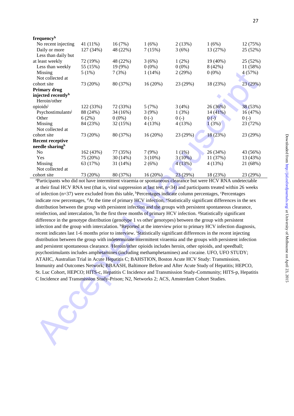| frequencyh                                                                                                                                 |           |          |            |           |          |          |
|--------------------------------------------------------------------------------------------------------------------------------------------|-----------|----------|------------|-----------|----------|----------|
| No recent injecting                                                                                                                        | 41 (11%)  | 16(7%)   | 1(6%)      | 2(13%)    | 1(6%)    | 12 (75%) |
| Daily or more<br>Less than daily but                                                                                                       | 127 (34%) | 48 (22%) | 7(15%)     | 3(6%)     | 13 (27%) | 25 (52%) |
| at least weekly                                                                                                                            | 72 (19%)  | 48 (22%) | 3(6%)      | $1(2\%)$  | 19 (40%) | 25 (52%) |
| Less than weekly                                                                                                                           | 55 (15%)  | 19 (9%)  | $0(0\%)$   | $0(0\%)$  | 8(42%)   | 11 (58%) |
| Missing                                                                                                                                    | 5(1%)     | 7(3%)    | $1(14\%)$  | 2(29%)    | $0(0\%)$ | 4(57%)   |
| Not collected at                                                                                                                           |           |          |            |           |          |          |
| cohort site                                                                                                                                | 73 (20%)  | 80 (37%) | 16(20%)    | 23 (29%)  | 18 (23%) | 23 (29%) |
| <b>Primary drug</b>                                                                                                                        |           |          |            |           |          |          |
| injected recently <sup>h</sup>                                                                                                             |           |          |            |           |          |          |
| Heroin/other                                                                                                                               |           |          |            |           |          |          |
| opioids                                                                                                                                    | 122 (33%) | 72 (33%) | 5(7%)      | 3(4%)     | 26 (36%) | 38 (53%) |
| Psychostimulants <sup>j</sup>                                                                                                              | 88 (24%)  | 34 (16%) | 3(9%)      | 1(3%)     | 14(41%)  | 16(47%)  |
| Other                                                                                                                                      | 6(2%)     | $0(0\%)$ | $0(-)$     | $0(-)$    | $0$ (-)  | $0(-)$   |
| Missing                                                                                                                                    | 84 (23%)  | 32 (15%) | 4(13%)     | 4(13%)    | 1(3%)    | 23 (72%) |
| Not collected at                                                                                                                           |           |          |            |           |          |          |
| cohort site                                                                                                                                | 73 (20%)  | 80 (37%) | 16 (20%)   | 23 (29%)  | 18 (23%) | 23 (29%) |
| <b>Recent receptive</b>                                                                                                                    |           |          |            |           |          |          |
| needle sharingh                                                                                                                            |           |          |            |           |          |          |
| No                                                                                                                                         | 162 (43%) | 77 (35%) | 7(9%)      | $1(1\%)$  | 26 (34%) | 43 (56%) |
| Yes                                                                                                                                        | 75 (20%)  | 30(14%)  | $3(10\%)$  | $3(10\%)$ | 11 (37%) | 13 (43%) |
| Missing                                                                                                                                    | 63 (17%)  | 31 (14%) | 2(6%)      | 4(13%)    | 4(13%)   | 21 (68%) |
| Not collected at                                                                                                                           |           |          |            |           |          |          |
| cohort site                                                                                                                                | 73 (20%)  | 80 (37%) | $16(20\%)$ | 23 (29%)  | 18 (23%) | 23 (29%) |
| <sup>a</sup> Participants who did not have intermittent viraemia or spontaneous clearance but were HCV RNA undetectable                    |           |          |            |           |          |          |
| at their final HCV RNA test (that is, viral suppression at last test, $n=34$ ) and participants treated within 26 weeks                    |           |          |            |           |          |          |
| of infection $(n=37)$ were excluded from this table, <sup>b</sup> Percentages indicate column percentages, <sup>c</sup> Percentages        |           |          |            |           |          |          |
|                                                                                                                                            |           |          |            |           |          |          |
| indicate row percentages, <sup>d</sup> At the time of primary HCV infection, <sup>e</sup> Statistically significant differences in the sex |           |          |            |           |          |          |
| distribution between the group with persistent infection and the groups with persistent spontaneous clearance,                             |           |          |            |           |          |          |
| reinfection, and intercalation, <sup>f</sup> In the first three months of primary HCV infection. <sup>g</sup> Statistically significant    |           |          |            |           |          |          |
| difference in the genotype distribution (genotype 1 vs other genotypes) between the group with persistent                                  |           |          |            |           |          |          |
| infection and the group with intercalation. <sup>h</sup> Reported at the interview prior to primary HCV infection diagnosis,               |           |          |            |           |          |          |
| recent indicates last 1-6 months prior to interview. Statistically significant differences in the recent injecting                         |           |          |            |           |          |          |
| distribution between the group with indeterminate intermittent viraemia and the groups with persistent infection                           |           |          |            |           |          |          |
| and persistent spontaneous clearance. Heroin/other opioids includes heroin, other opioids, and speedball;                                  |           |          |            |           |          |          |
| psychostimulants includes amphetamines (including methamphetamines) and cocaine. UFO, UFO STUDY;                                           |           |          |            |           |          |          |
|                                                                                                                                            |           |          |            |           |          |          |
| ATAHC, Australian Trial in Acute Hepatitis C; BAHSTION, Boston Acute HCV Study: Transmission,                                              |           |          |            |           |          |          |
| Immunity and Outcomes Network; BBAASH, Baltimore Before and After Acute Study of Hepatitis; HEPCO,                                         |           |          |            |           |          |          |
| St. Luc Cohort, HEPCO; HITS-c, Hepatitis C Incidence and Transmission Study-Community; HITS-p, Hepatitis                                   |           |          |            |           |          |          |
| C Incidence and Transmission Study-Prison; N2, Networks 2; ACS, Amsterdam Cohort Studies.                                                  |           |          |            |           |          |          |
|                                                                                                                                            |           |          |            |           |          |          |
|                                                                                                                                            |           |          |            |           |          |          |
|                                                                                                                                            |           |          |            |           |          |          |
|                                                                                                                                            |           |          |            |           |          |          |
|                                                                                                                                            |           |          |            |           |          |          |
|                                                                                                                                            |           |          |            |           |          |          |
|                                                                                                                                            |           |          |            |           |          |          |
|                                                                                                                                            |           |          |            |           |          |          |
|                                                                                                                                            |           |          |            |           |          |          |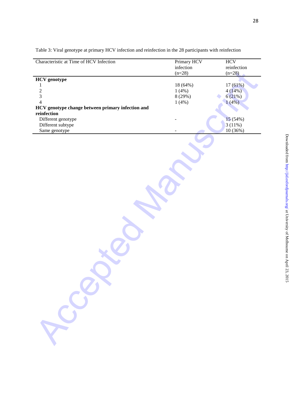| Characteristic at Time of HCV Infection           | Primary HCV<br>infection<br>$(n=28)$ | <b>HCV</b><br>reinfection<br>$(n=28)$ |
|---------------------------------------------------|--------------------------------------|---------------------------------------|
| <b>HCV</b> genotype                               |                                      |                                       |
| 1                                                 | 18 (64%)                             | 17(61%)                               |
| $\overline{c}$                                    | 1(4%)                                | 4(14%)                                |
| $\overline{3}$                                    | 8 (29%)                              | 6(21%)                                |
| $\overline{4}$                                    | 1(4%)                                | 1(4%)                                 |
| HCV genotype change between primary infection and |                                      |                                       |
| reinfection                                       |                                      |                                       |
| Different genotype                                |                                      | 15 (54%)                              |
| Different subtype                                 |                                      | 3(11%)                                |
|                                                   |                                      |                                       |
| Same genotype                                     |                                      | 10 (36%)                              |
| Local                                             |                                      |                                       |
|                                                   |                                      |                                       |

Table 3: Viral genotype at primary HCV infection and reinfection in the 28 participants with reinfection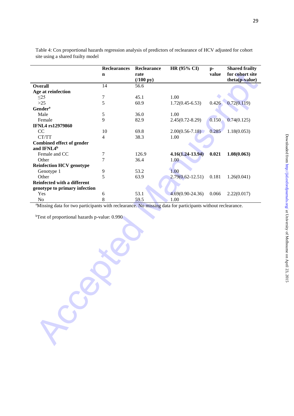|  |  | :<br><b>The first hat</b><br>at University of N<br>$\epsilon$ elhomme on A<br>dille Oli April 43, 4012.<br>ה הבין היה |
|--|--|-----------------------------------------------------------------------------------------------------------------------|
|  |  | $\frac{5}{1}$                                                                                                         |

Table 4: Cox proportional hazards regression analysis of predictors of reclearance of HCV adjusted for cohort site using a shared frailty model

|                                                                                                                        | <b>Reclearances</b> | Reclearance        | HR (95% CI)          | $p-$  | <b>Shared frailty</b> |
|------------------------------------------------------------------------------------------------------------------------|---------------------|--------------------|----------------------|-------|-----------------------|
|                                                                                                                        | $\mathbf n$         | rate               |                      | value | for cohort site       |
|                                                                                                                        |                     | $(100 \text{ py})$ |                      |       | theta(p-value)        |
| <b>Overall</b>                                                                                                         | 14                  | 56.6               |                      |       |                       |
| Age at reinfection                                                                                                     |                     |                    |                      |       |                       |
| $\leq$ 25                                                                                                              | 7                   | 45.1               | 1.00                 |       |                       |
| $>25$                                                                                                                  | 5                   | 60.9               | $1.72(0.45 - 6.53)$  | 0.426 | 0.72(0.119)           |
| Gender <sup>a</sup>                                                                                                    |                     |                    |                      |       |                       |
| Male                                                                                                                   | $\sqrt{5}$          | 36.0               | 1.00                 |       |                       |
| Female                                                                                                                 | 9                   | 82.9               | $2.45(0.72 - 8.29)$  | 0.150 | 0.74(0.125)           |
| <b>IFNL4 rs12979860</b>                                                                                                |                     |                    |                      |       |                       |
| CC                                                                                                                     | 10                  | 69.8               | $2.00(0.56 - 7.18)$  | 0.285 | 1.18(0.053)           |
| CT/TT                                                                                                                  | $\overline{4}$      | 38.3               | 1.00                 |       |                       |
| <b>Combined effect of gender</b>                                                                                       |                     |                    |                      |       |                       |
| and IFNL4 <sup>b</sup>                                                                                                 |                     | 126.9              |                      | 0.021 |                       |
| Female and CC<br>Other                                                                                                 | 7<br>7              | 36.4               | $4.16(1.24-13.94)$   |       | 1.08(0.063)           |
| <b>Reinfection HCV genotype</b>                                                                                        |                     |                    | 1.00                 |       |                       |
| Genotype 1                                                                                                             | 9                   | 53.2               | 1.00                 |       |                       |
| Other                                                                                                                  | 5                   | 63.9               | $2.79(0.62 - 12.51)$ | 0.181 | 1.26(0.041)           |
| Reinfected with a different                                                                                            |                     |                    |                      |       |                       |
| genotype to primary infection                                                                                          |                     |                    |                      |       |                       |
| Yes                                                                                                                    | 6                   | 53.1               | $4.69(0.90 - 24.36)$ | 0.066 | 2.22(0.017)           |
| No                                                                                                                     | 8                   | 59.5               | 1.00                 |       |                       |
| <sup>a</sup> Missing data for two participants with reclearance. No missing data for participants without reclearance. |                     |                    |                      |       |                       |
|                                                                                                                        |                     |                    |                      |       |                       |
| <sup>b</sup> Test of proportional hazards p-value: 0.990                                                               |                     |                    |                      |       |                       |
|                                                                                                                        |                     |                    |                      |       |                       |
|                                                                                                                        |                     |                    |                      |       |                       |
|                                                                                                                        |                     |                    |                      |       |                       |
|                                                                                                                        |                     |                    |                      |       |                       |
|                                                                                                                        |                     |                    |                      |       |                       |
|                                                                                                                        |                     |                    |                      |       |                       |
|                                                                                                                        |                     |                    |                      |       |                       |
|                                                                                                                        |                     |                    |                      |       |                       |
|                                                                                                                        |                     |                    |                      |       |                       |
|                                                                                                                        |                     |                    |                      |       |                       |
|                                                                                                                        |                     |                    |                      |       |                       |
|                                                                                                                        |                     |                    |                      |       |                       |
|                                                                                                                        |                     |                    |                      |       |                       |
|                                                                                                                        |                     |                    |                      |       |                       |
|                                                                                                                        |                     |                    |                      |       |                       |
|                                                                                                                        |                     |                    |                      |       |                       |
|                                                                                                                        |                     |                    |                      |       |                       |
|                                                                                                                        |                     |                    |                      |       |                       |
|                                                                                                                        |                     |                    |                      |       |                       |
|                                                                                                                        |                     |                    |                      |       |                       |
|                                                                                                                        |                     |                    |                      |       |                       |
|                                                                                                                        |                     |                    |                      |       |                       |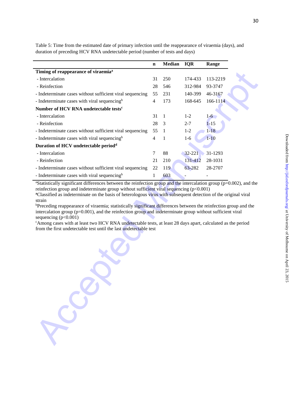|                                                                                                                                                                                                                        | $\mathbf n$ | Median       | <b>IQR</b> | Range    |
|------------------------------------------------------------------------------------------------------------------------------------------------------------------------------------------------------------------------|-------------|--------------|------------|----------|
| Timing of reappearance of viraemia <sup>a</sup>                                                                                                                                                                        |             |              |            |          |
| - Intercalation                                                                                                                                                                                                        | 31          | 250          | 174-433    | 113-2219 |
| - Reinfection                                                                                                                                                                                                          | 28          | 546          | 312-984    | 93-3747  |
| - Indeterminate cases without sufficient viral sequencing                                                                                                                                                              | 55          | 231          | 140-399    | 46-3167  |
| - Indeterminate cases with viral sequencing <sup>b</sup>                                                                                                                                                               | 4           | 173          | 168-645    | 166-1114 |
| Number of HCV RNA undetectable tests <sup>c</sup>                                                                                                                                                                      |             |              |            |          |
| - Intercalation                                                                                                                                                                                                        | 31          | $\mathbf{1}$ | $1 - 2$    | $1-6$    |
| - Reinfection                                                                                                                                                                                                          | 28          | 3            | $2 - 7$    | $1 - 15$ |
| - Indeterminate cases without sufficient viral sequencing                                                                                                                                                              | 55          | 1            | $1 - 2$    | $1 - 18$ |
| - Indeterminate cases with viral sequencing <sup>b</sup>                                                                                                                                                               | 4           | 1            | $1-6$      | $1 - 10$ |
| Duration of HCV undetectable period <sup>d</sup>                                                                                                                                                                       |             |              |            |          |
| - Intercalation                                                                                                                                                                                                        | 7           | 88           | $32 - 221$ | 31-1293  |
| - Reinfection                                                                                                                                                                                                          | 21          | 210          | 131-412    | 28-1031  |
| - Indeterminate cases without sufficient viral sequencing                                                                                                                                                              | 22          | 119          | 63-282     | 28-2707  |
| - Indeterminate cases with viral sequencing <sup>b</sup>                                                                                                                                                               | 1           | 603          |            |          |
| sequencing $(p<0.001)$<br><sup>c</sup> Among cases with at least two HCV RNA undetectable tests, at least 28 days apart, calculated as the period<br>from the first undetectable test until the last undetectable test |             |              |            |          |
|                                                                                                                                                                                                                        |             |              |            |          |
|                                                                                                                                                                                                                        |             |              |            |          |
|                                                                                                                                                                                                                        |             |              |            |          |
|                                                                                                                                                                                                                        |             |              |            |          |

Table 5: Time from the estimated date of primary infection until the reappearance of viraemia (days), and duration of preceding HCV RNA undetectable period (number of tests and days)

30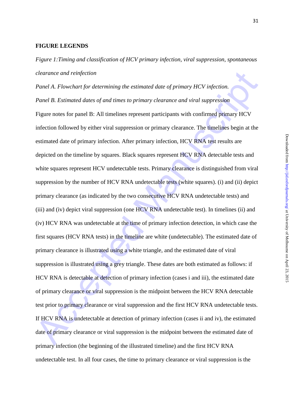## **FIGURE LEGENDS**

*Figure 1:Timing and classification of HCV primary infection, viral suppression, spontaneous clearance and reinfection* 

*clearance and reinfection*<br> *Panel A. Flowchart for determining the estimated date of primary HCV infection.*<br> *Panel B. Estimated dates of and times to primary clearance and viral suppression*<br> **Figure notes for panel B** *Panel A. Flowchart for determining the estimated date of primary HCV infection. Panel B. Estimated dates of and times to primary clearance and viral suppression*  Figure notes for panel B: All timelines represent participants with confirmed primary HCV infection followed by either viral suppression or primary clearance. The timelines begin at the estimated date of primary infection. After primary infection, HCV RNA test results are depicted on the timeline by squares. Black squares represent HCV RNA detectable tests and white squares represent HCV undetectable tests. Primary clearance is distinguished from viral suppression by the number of HCV RNA undetectable tests (white squares). (i) and (ii) depict primary clearance (as indicated by the two consecutive HCV RNA undetectable tests) and (iii) and (iv) depict viral suppression (one HCV RNA undetectable test). In timelines (ii) and (iv) HCV RNA was undetectable at the time of primary infection detection, in which case the first squares (HCV RNA tests) in the timeline are white (undetectable). The estimated date of primary clearance is illustrated using a white triangle, and the estimated date of viral suppression is illustrated using a grey triangle. These dates are both estimated as follows: if HCV RNA is detectable at detection of primary infection (cases i and iii), the estimated date of primary clearance or viral suppression is the midpoint between the HCV RNA detectable test prior to primary clearance or viral suppression and the first HCV RNA undetectable tests. If HCV RNA is undetectable at detection of primary infection (cases ii and iv), the estimated date of primary clearance or viral suppression is the midpoint between the estimated date of primary infection (the beginning of the illustrated timeline) and the first HCV RNA undetectable test. In all four cases, the time to primary clearance or viral suppression is the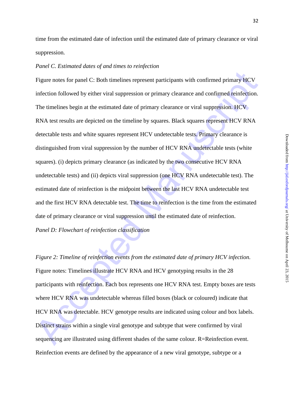time from the estimated date of infection until the estimated date of primary clearance or viral suppression.

#### *Panel C. Estimated dates of and times to reinfection*

Figure notes for panel C: Both timelines represent participants with confirmed primary HCV infection followed by either viral suppression or primary elearance and confirmed reinfection.<br>The timelines begin at the estimate Figure notes for panel C: Both timelines represent participants with confirmed primary HCV infection followed by either viral suppression or primary clearance and confirmed reinfection. The timelines begin at the estimated date of primary clearance or viral suppression. HCV RNA test results are depicted on the timeline by squares. Black squares represent HCV RNA detectable tests and white squares represent HCV undetectable tests. Primary clearance is distinguished from viral suppression by the number of HCV RNA undetectable tests (white squares). (i) depicts primary clearance (as indicated by the two consecutive HCV RNA undetectable tests) and (ii) depicts viral suppression (one HCV RNA undetectable test). The estimated date of reinfection is the midpoint between the last HCV RNA undetectable test and the first HCV RNA detectable test. The time to reinfection is the time from the estimated date of primary clearance or viral suppression until the estimated date of reinfection. *Panel D: Flowchart of reinfection classification* 

*Figure 2: Timeline of reinfection events from the estimated date of primary HCV infection.*  Figure notes: Timelines illustrate HCV RNA and HCV genotyping results in the 28 participants with reinfection. Each box represents one HCV RNA test. Empty boxes are tests where HCV RNA was undetectable whereas filled boxes (black or coloured) indicate that HCV RNA was detectable. HCV genotype results are indicated using colour and box labels. Distinct strains within a single viral genotype and subtype that were confirmed by viral sequencing are illustrated using different shades of the same colour. R=Reinfection event. Reinfection events are defined by the appearance of a new viral genotype, subtype or a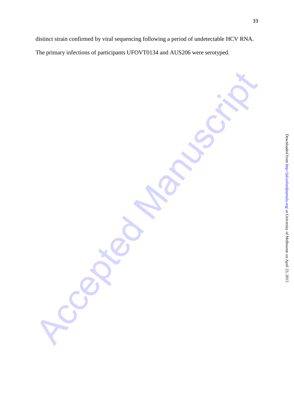distinct strain confirmed by viral sequencing following a period of undetectable HCV RNA. The primary infections of participants UFOVT0134 and AUS206 were serotyped.

Accepted Manuscript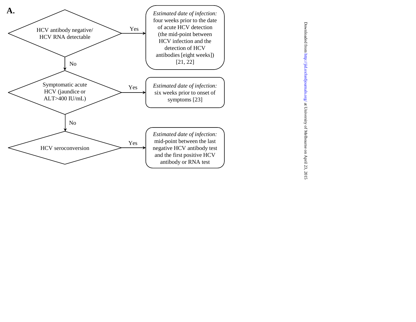

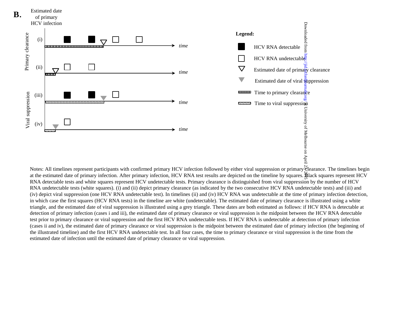

Notes: All timelines represent participants with confirmed primary HCV infection followed by either viral suppression or primary clearance. The timelines begin at the estimated date of primary infection. After primary infection, HCV RNA test results are depicted on the timeline by squares. Black squares represent HCV RNA detectable tests and white squares represent HCV undetectable tests. Primary clearance is distinguished from viral suppression by the number of HCV RNA undetectable tests (white squares). (i) and (ii) depict primary clearance (as indicated by the two consecutive HCV RNA undetectable tests) and (iii) and (iv) depict viral suppression (one HCV RNA undetectable test). In timelines (ii) and (iv) HCV RNA was undetectable at the time of primary infection detection, in which case the first squares (HCV RNA tests) in the timeline are white (undetectable). The estimated date of primary clearance is illustrated using a white triangle, and the estimated date of viral suppression is illustrated using a grey triangle. These dates are both estimated as follows: if HCV RNA is detectable at detection of primary infection (cases i and iii), the estimated date of primary clearance or viral suppression is the midpoint between the HCV RNA detectable test prior to primary clearance or viral suppression and the first HCV RNA undetectable tests. If HCV RNA is undetectable at detection of primary infection (cases ii and iv), the estimated date of primary clearance or viral suppression is the midpoint between the estimated date of primary infection (the beginning of the illustrated timeline) and the first HCV RNA undetectable test. In all four cases, the time to primary clearance or viral suppression is the time from the estimated date of infection until the estimated date of primary clearance or viral suppression.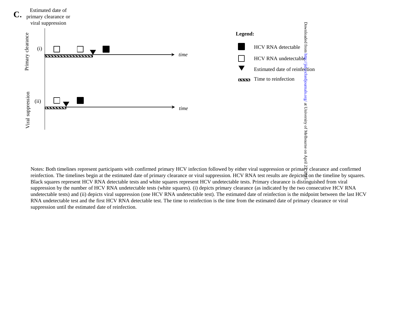

Notes: Both timelines represent participants with confirmed primary HCV infection followed by either viral suppression or primary clearance and confirmed reinfection. The timelines begin at the estimated date of primary clearance or viral suppression. HCV RNA test results are depicted on the timeline by squares. Black squares represent HCV RNA detectable tests and white squares represent HCV undetectable tests. Primary clearance is distinguished from viral suppression by the number of HCV RNA undetectable tests (white squares). (i) depicts primary clearance (as indicated by the two consecutive HCV RNA undetectable tests) and (ii) depicts viral suppression (one HCV RNA undetectable test). The estimated date of reinfection is the midpoint between the last HCV RNA undetectable test and the first HCV RNA detectable test. The time to reinfection is the time from the estimated date of primary clearance or viral suppression until the estimated date of reinfection.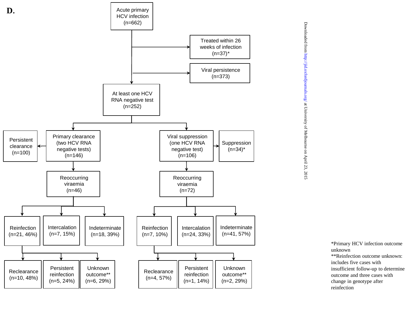

Downloaded from http://jid.oxfordjournals.org/ at University of Melbourne on April 23, 2015

\*Primary HCV infection outcome unknown \*\*Reinfection outcome unknown: includes five cases with insufficient follow - up to determine outcome and three cases with change in genotype after reinfection